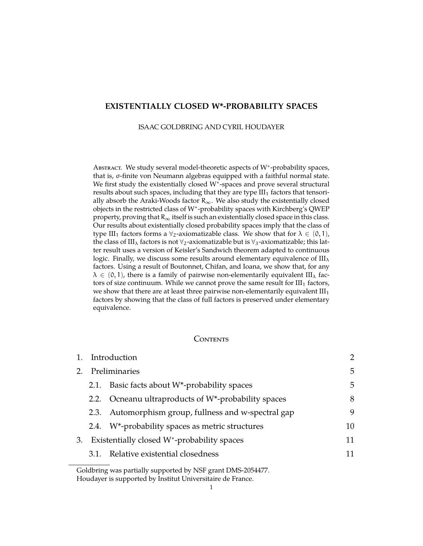## **EXISTENTIALLY CLOSED W\*-PROBABILITY SPACES**

ISAAC GOLDBRING AND CYRIL HOUDAYER

ABSTRACT. We study several model-theoretic aspects of W<sup>\*</sup>-probability spaces, that is, σ-finite von Neumann algebras equipped with a faithful normal state. We first study the existentially closed W<sup>∗</sup> -spaces and prove several structural results about such spaces, including that they are type  $III_1$  factors that tensorially absorb the Araki-Woods factor  $R_{\infty}$ . We also study the existentially closed objects in the restricted class of W<sup>∗</sup> -probability spaces with Kirchberg's QWEP property, proving that  $R_{\infty}$  itself is such an existentially closed space in this class. Our results about existentially closed probability spaces imply that the class of type III<sub>1</sub> factors forms a  $\forall$ <sub>2</sub>-axiomatizable class. We show that for  $\lambda \in (0,1)$ , the class of III<sub> $\lambda$ </sub> factors is not  $\forall$ <sub>2</sub>-axiomatizable but is  $\forall$ <sub>3</sub>-axiomatizable; this latter result uses a version of Keisler's Sandwich theorem adapted to continuous logic. Finally, we discuss some results around elementary equivalence of  $III_{\lambda}$ factors. Using a result of Boutonnet, Chifan, and Ioana, we show that, for any  $\lambda \in (0, 1)$ , there is a family of pairwise non-elementarily equivalent III<sub> $\lambda$ </sub> factors of size continuum. While we cannot prove the same result for  $III_1$  factors, we show that there are at least three pairwise non-elementarily equivalent  $III<sub>1</sub>$ factors by showing that the class of full factors is preserved under elementary equivalence.

### Contents

| 1. | Introduction                                            |                                                                  |    |
|----|---------------------------------------------------------|------------------------------------------------------------------|----|
| 2. | Preliminaries                                           |                                                                  |    |
|    | 2.1.                                                    | Basic facts about $W^*$ -probability spaces                      | 5  |
|    |                                                         | 2.2. Ocneanu ultraproducts of W <sup>*</sup> -probability spaces | 8  |
|    |                                                         | 2.3. Automorphism group, fullness and w-spectral gap             | 9  |
|    |                                                         | 2.4. W <sup>*</sup> -probability spaces as metric structures     | 10 |
| 3. | Existentially closed W <sup>*</sup> -probability spaces |                                                                  | 11 |
|    |                                                         | 3.1. Relative existential closedness                             | 11 |
|    |                                                         |                                                                  |    |

Goldbring was partially supported by NSF grant DMS-2054477. Houdayer is supported by Institut Universitaire de France.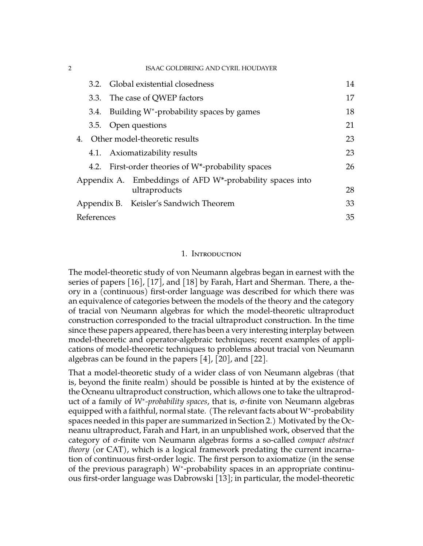| $\overline{2}$ |                                                          | <b>ISAAC GOLDBRING AND CYRIL HOUDAYER</b>                       |    |
|----------------|----------------------------------------------------------|-----------------------------------------------------------------|----|
|                | 3.2 <sub>1</sub>                                         | Global existential closedness                                   | 14 |
|                | 3.3.                                                     | The case of QWEP factors                                        | 17 |
|                | 3.4.                                                     | Building $W^*$ -probability spaces by games                     | 18 |
|                |                                                          | 3.5. Open questions                                             | 21 |
|                |                                                          | 4. Other model-theoretic results                                | 23 |
|                |                                                          | 4.1. Axiomatizability results                                   | 23 |
|                |                                                          | 4.2. First-order theories of W <sup>*</sup> -probability spaces | 26 |
|                | Appendix A. Embeddings of AFD W*-probability spaces into |                                                                 |    |
|                |                                                          | ultraproducts                                                   | 28 |
|                |                                                          | Appendix B. Keisler's Sandwich Theorem                          | 33 |
|                | References                                               |                                                                 | 35 |

# 1. Introduction

<span id="page-1-0"></span>The model-theoretic study of von Neumann algebras began in earnest with the series of papers [\[16\]](#page-34-1), [\[17\]](#page-34-2), and [\[18\]](#page-35-0) by Farah, Hart and Sherman. There, a theory in a (continuous) first-order language was described for which there was an equivalence of categories between the models of the theory and the category of tracial von Neumann algebras for which the model-theoretic ultraproduct construction corresponded to the tracial ultraproduct construction. In the time since these papers appeared, there has been a very interesting interplay between model-theoretic and operator-algebraic techniques; recent examples of applications of model-theoretic techniques to problems about tracial von Neumann algebras can be found in the papers [\[4\]](#page-34-3), [\[20\]](#page-35-1), and [\[22\]](#page-35-2).

That a model-theoretic study of a wider class of von Neumann algebras (that is, beyond the finite realm) should be possible is hinted at by the existence of the Ocneanu ultraproduct construction, which allows one to take the ultraproduct of a family of *W*<sup>∗</sup> *-probability spaces*, that is, σ-finite von Neumann algebras equipped with a faithful, normal state. (The relevant facts about W<sup>∗</sup> -probability spaces needed in this paper are summarized in Section 2.) Motivated by the Ocneanu ultraproduct, Farah and Hart, in an unpublished work, observed that the category of σ-finite von Neumann algebras forms a so-called *compact abstract theory* (or CAT), which is a logical framework predating the current incarnation of continuous first-order logic. The first person to axiomatize (in the sense of the previous paragraph) W<sup>∗</sup> -probability spaces in an appropriate continuous first-order language was Dabrowski [\[13\]](#page-34-4); in particular, the model-theoretic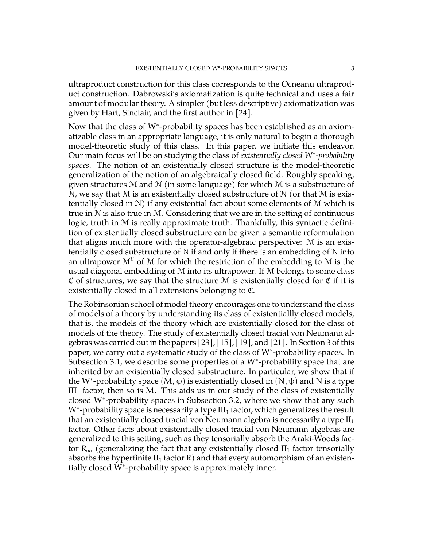ultraproduct construction for this class corresponds to the Ocneanu ultraproduct construction. Dabrowski's axiomatization is quite technical and uses a fair amount of modular theory. A simpler (but less descriptive) axiomatization was given by Hart, Sinclair, and the first author in [\[24\]](#page-35-3).

Now that the class of W<sup>∗</sup> -probability spaces has been established as an axiomatizable class in an appropriate language, it is only natural to begin a thorough model-theoretic study of this class. In this paper, we initiate this endeavor. Our main focus will be on studying the class of *existentially closed W*<sup>∗</sup> *-probability spaces*. The notion of an existentially closed structure is the model-theoretic generalization of the notion of an algebraically closed field. Roughly speaking, given structures M and N (in some language) for which M is a substructure of  $\mathcal N$ , we say that  $\mathcal M$  is an existentially closed substructure of  $\mathcal N$  (or that  $\mathcal M$  is existentially closed in  $\mathcal{N}$ ) if any existential fact about some elements of  $\mathcal M$  which is true in  $\mathcal N$  is also true in  $\mathcal M$ . Considering that we are in the setting of continuous logic, truth in M is really approximate truth. Thankfully, this syntactic definition of existentially closed substructure can be given a semantic reformulation that aligns much more with the operator-algebraic perspective: M is an existentially closed substructure of  $N$  if and only if there is an embedding of  $N$  into an ultrapower  $\mathcal{M}^{\mathcal{U}}$  of  $\mathcal{M}$  for which the restriction of the embedding to  $\mathcal{M}$  is the usual diagonal embedding of M into its ultrapower. If M belongs to some class  $\mathfrak C$  of structures, we say that the structure M is existentially closed for  $\mathfrak C$  if it is existentially closed in all extensions belonging to C.

The Robinsonian school of model theory encourages one to understand the class of models of a theory by understanding its class of existentiallly closed models, that is, the models of the theory which are existentially closed for the class of models of the theory. The study of existentially closed tracial von Neumann algebras was carried out in the papers [\[23\]](#page-35-4), [\[15\]](#page-34-5), [\[19\]](#page-35-5), and [\[21\]](#page-35-6). In Section 3 of this paper, we carry out a systematic study of the class of W\*-probability spaces. In Subsection 3.1, we describe some properties of a W<sup>∗</sup> -probability space that are inherited by an existentially closed substructure. In particular, we show that if the W<sup>\*</sup>-probability space  $(M, \varphi)$  is existentially closed in  $(N, \psi)$  and N is a type  $III<sub>1</sub>$  factor, then so is M. This aids us in our study of the class of existentially closed W<sup>∗</sup> -probability spaces in Subsection 3.2, where we show that any such W<sup>\*</sup>-probability space is necessarily a type III<sub>1</sub> factor, which generalizes the result that an existentially closed tracial von Neumann algebra is necessarily a type  $II_1$ factor. Other facts about existentially closed tracial von Neumann algebras are generalized to this setting, such as they tensorially absorb the Araki-Woods factor  $R_{\infty}$  (generalizing the fact that any existentially closed II<sub>1</sub> factor tensorially absorbs the hyperfinite  $II_1$  factor R) and that every automorphism of an existentially closed W<sup>∗</sup> -probability space is approximately inner.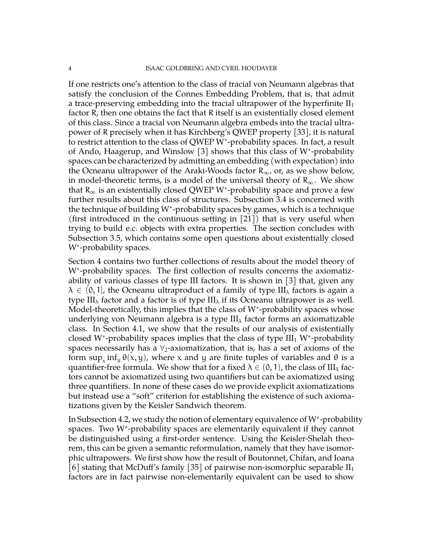If one restricts one's attention to the class of tracial von Neumann algebras that satisfy the conclusion of the Connes Embedding Problem, that is, that admit a trace-preserving embedding into the tracial ultrapower of the hyperfinite  $II_1$ factor R, then one obtains the fact that R itself is an existentially closed element of this class. Since a tracial von Neumann algebra embeds into the tracial ultrapower of R precisely when it has Kirchberg's QWEP property [\[33\]](#page-35-7), it is natural to restrict attention to the class of QWEP W\*-probability spaces. In fact, a result of Ando, Haagerup, and Winslow [\[3\]](#page-34-6) shows that this class of W<sup>∗</sup> -probability spaces can be characterized by admitting an embedding (with expectation) into the Ocneanu ultrapower of the Araki-Woods factor  $R_{\infty}$ , or, as we show below, in model-theoretic terms, is a model of the universal theory of  $R_{\infty}$ . We show that  $R_{\infty}$  is an existentially closed QWEP W<sup>\*</sup>-probability space and prove a few further results about this class of structures. Subsection 3.4 is concerned with the technique of building W<sup>∗</sup> -probability spaces by games, which is a technique (first introduced in the continuous setting in  $[21]$ ) that is very useful when trying to build e.c. objects with extra properties. The section concludes with Subsection 3.5, which contains some open questions about existentially closed W<sup>\*</sup>-probability spaces.

Section 4 contains two further collections of results about the model theory of W<sup>\*</sup>-probability spaces. The first collection of results concerns the axiomatizability of various classes of type III factors. It is shown in [\[3\]](#page-34-6) that, given any  $\lambda \in (0,1]$ , the Ocneanu ultraproduct of a family of type III<sub> $\lambda$ </sub> factors is again a type III<sub> $\lambda$ </sub> factor and a factor is of type III<sub> $\lambda$ </sub> if its Ocneanu ultrapower is as well. Model-theoretically, this implies that the class of W<sup>∗</sup> -probability spaces whose underlying von Neumann algebra is a type  $III_{\lambda}$  factor forms an axiomatizable class. In Section 4.1, we show that the results of our analysis of existentially closed W\*-probability spaces implies that the class of type  $III_1$  W\*-probability spaces necessarily has a  $\forall$ <sub>2</sub>-axiomatization, that is, has a set of axioms of the form  $\sup_x \inf_y \theta(x,y)$ , where x and y are finite tuples of variables and  $\theta$  is a quantifier-free formula. We show that for a fixed  $\lambda \in (0, 1)$ , the class of III<sub> $\lambda$ </sub> factors cannot be axiomatized using two quantifiers but can be axiomatized using three quantifiers. In none of these cases do we provide explicit axiomatizations but instead use a "soft" criterion for establishing the existence of such axiomatizations given by the Keisler Sandwich theorem.

In Subsection 4.2, we study the notion of elementary equivalence of W<sup>∗</sup> -probability spaces. Two W<sup>∗</sup> -probability spaces are elementarily equivalent if they cannot be distinguished using a first-order sentence. Using the Keisler-Shelah theorem, this can be given a semantic reformulation, namely that they have isomorphic ultrapowers. We first show how the result of Boutonnet, Chifan, and Ioana [\[6\]](#page-34-7) stating that McDuff's family [\[35\]](#page-35-8) of pairwise non-isomorphic separable  $II_1$ factors are in fact pairwise non-elementarily equivalent can be used to show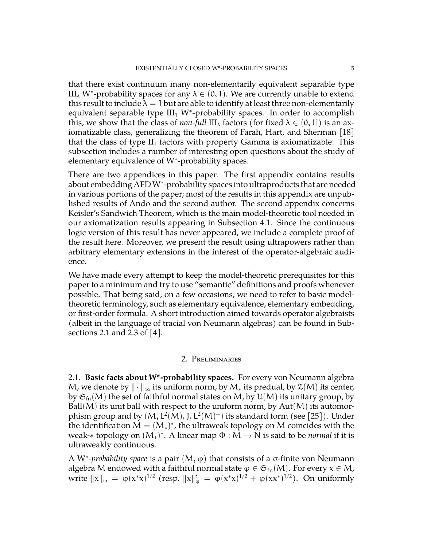that there exist continuum many non-elementarily equivalent separable type III<sub>λ</sub> W<sup>\*</sup>-probability spaces for any  $\lambda \in (0,1)$ . We are currently unable to extend this result to include  $\lambda = 1$  but are able to identify at least three non-elementarily equivalent separable type  $III_1$  W<sup>\*</sup>-probability spaces. In order to accomplish this, we show that the class of *non-full*  $III_{\lambda}$  factors (for fixed  $\lambda \in (0,1]$ ) is an axiomatizable class, generalizing the theorem of Farah, Hart, and Sherman [\[18\]](#page-35-0) that the class of type  $II_1$  factors with property Gamma is axiomatizable. This subsection includes a number of interesting open questions about the study of elementary equivalence of W<sup>∗</sup> -probability spaces.

There are two appendices in this paper. The first appendix contains results about embedding AFD W<sup>∗</sup> -probability spaces into ultraproducts that are needed in various portions of the paper; most of the results in this appendix are unpublished results of Ando and the second author. The second appendix concerns Keisler's Sandwich Theorem, which is the main model-theoretic tool needed in our axiomatization results appearing in Subsection 4.1. Since the continuous logic version of this result has never appeared, we include a complete proof of the result here. Moreover, we present the result using ultrapowers rather than arbitrary elementary extensions in the interest of the operator-algebraic audience.

We have made every attempt to keep the model-theoretic prerequisites for this paper to a minimum and try to use "semantic" definitions and proofs whenever possible. That being said, on a few occasions, we need to refer to basic modeltheoretic terminology, such as elementary equivalence, elementary embedding, or first-order formula. A short introduction aimed towards operator algebraists (albeit in the language of tracial von Neumann algebras) can be found in Subsections 2.1 and 2.3 of [\[4\]](#page-34-3).

## 2. Preliminaries

<span id="page-4-1"></span><span id="page-4-0"></span>2.1. **Basic facts about W\*-probability spaces.** For every von Neumann algebra M, we denote by  $\|\cdot\|_{\infty}$  its uniform norm, by M<sub>\*</sub> its predual, by  $\mathfrak{X}(M)$  its center, by  $\mathfrak{S}_{\text{fn}}(M)$  the set of faithful normal states on M, by  $\mathfrak{U}(M)$  its unitary group, by Ball $(M)$  its unit ball with respect to the uniform norm, by  $Aut(M)$  its automorphism group and by  $(M, L^2(M), J, L^2(M)^+)$  its standard form (see [\[25\]](#page-35-9)). Under the identification  $M = (M_*)^*$ , the ultraweak topology on M coincides with the weak-∗ topology on (M∗) ∗ . A linear map <sup>Φ</sup> : <sup>M</sup> <sup>→</sup> <sup>N</sup> is said to be *normal* if it is ultraweakly continuous.

A W<sup>\*</sup>-*probability space* is a pair (M, φ) that consists of a σ-finite von Neumann algebra M endowed with a faithful normal state  $\varphi \in \mathfrak{S}_{\text{fn}}(M)$ . For every  $x \in M$ , write  $\|x\|_{\varphi} = \varphi(x^*x)^{1/2}$  (resp.  $\|x\|_{\varphi}^{\sharp} = \varphi(x^*x)^{1/2} + \varphi(xx^*)^{1/2}$ ). On uniformly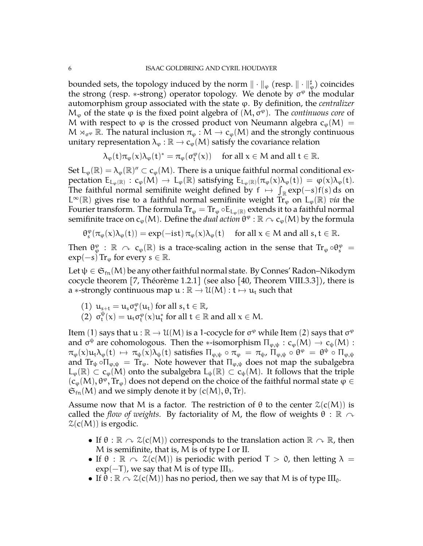bounded sets, the topology induced by the norm  $\|\cdot\|_\varphi$  (resp.  $\|\cdot\|_\varphi^\sharp$ ) coincides the strong (resp. \*-strong) operator topology. We denote by  $\sigma^{\varphi}$  the modular automorphism group associated with the state ϕ. By definition, the *centralizer*  $M<sub>φ</sub>$  of the state  $φ$  is the fixed point algebra of  $(M, σ<sup>φ</sup>)$ . The *continuous core* of M with respect to  $\varphi$  is the crossed product von Neumann algebra  $c_{\varphi}(M) =$  $M \rtimes_{\sigma^\varphi} \mathbb{R}$ . The natural inclusion  $\pi_\varphi : M \to c_\varphi(M)$  and the strongly continuous unitary representation  $\lambda_{\varphi} : \mathbb{R} \to c_{\varphi}(M)$  satisfy the covariance relation

 $\lambda_{\varphi}(t)\pi_{\varphi}(x)\lambda_{\varphi}(t)^{*} = \pi_{\varphi}(\sigma_{t}^{\varphi}(x)) \text{ for all } x \in \mathbb{M} \text{ and all } t \in \mathbb{R}.$ 

Set  $L_{\varphi}(\mathbb{R}) = \lambda_{\varphi}(\mathbb{R})'' \subset c_{\varphi}(M)$ . There is a unique faithful normal conditional expectation  $E_{L_{\varphi}(\mathbb{R})}: c_{\varphi}(M) \to L_{\varphi}(\mathbb{R})$  satisfying  $E_{L_{\varphi}(\mathbb{R})}(\pi_{\varphi}(x)\lambda_{\varphi}(t)) = \varphi(x)\lambda_{\varphi}(t)$ .<br>The faithful narrow large is it a result defined less factor of some solution on The faithful normal semifinite weight defined by  $f \mapsto \int_{\mathbb{R}} exp(-s)f(s) ds$  on L<sup>∞</sup>( $\mathbb{R}$ ) gives rise to a faithful normal semifinite weight  $\tilde{T}_{\varphi}$  on L<sub>φ</sub>( $\mathbb{R}$ ) *via* the Fourier transform. The formula  $\text{Tr}_{\varphi} = \text{Tr}_{\varphi} \circ \text{E}_{L_{\varphi}(\mathbb{R})}$  extends it to a faithful normal semifinite trace on c<sub>o</sub>(M). Define the *dual action*  $\theta^\phi : \mathbb{R} \curvearrowright \mathsf{c}_\phi(\mathsf{M})$  by the formula

$$
\theta_s^\phi(\pi_\phi(x)\lambda_\phi(t))=exp(-ist)\,\pi_\phi(x)\lambda_\phi(t)\quad\text{ for all $x\in M$ and all $s,t\in\mathbb{R}$.}
$$

Then  $\theta_\varphi^{\varphi}$  :  $\mathbb{R} \curvearrowright c_{\varphi}(\mathbb{R})$  is a trace-scaling action in the sense that  $\text{Tr}_{\varphi} \circ \theta_s^{\varphi} =$  $\exp(-s)$  Tr<sub> $\varphi$ </sub> for every  $s \in \mathbb{R}$ .

Let  $\psi \in \mathfrak{S}_{fn}(M)$  be any other faithful normal state. By Connes' Radon–Nikodym cocycle theorem [\[7,](#page-34-8) Théorème 1.2.1] (see also [\[40,](#page-35-10) Theorem VIII.3.3]), there is a \*-strongly continuous map  $u : \mathbb{R} \to \mathcal{U}(M) : t \mapsto u_t$  such that

- (1)  $u_{s+t} = u_s \sigma_s^{\varphi}(u_t)$  for all  $s, t \in \mathbb{R}$ ,
- (2)  $σ_t^{\psi}$  $\mathcal{L}_{\mathfrak{t}}^{\psi}(\mathsf{x}) = \mathfrak{u}_{\mathfrak{t}} \sigma_{\mathfrak{t}}^{\varphi}(\mathsf{x}) \mathfrak{u}_{\mathfrak{t}}^{*}$  for all  $\mathfrak{t} \in \mathbb{R}$  and all  $\mathsf{x} \in \mathsf{M}$ .

Item (1) says that  $u : \mathbb{R} \to \mathcal{U}(M)$  is a 1-cocycle for  $\sigma^{\varphi}$  while Item (2) says that  $\sigma^{\varphi}$ <br>and  $\sigma^{\psi}$  are askemalazary. Then the view surface  $\Pi$  and  $(M)$  is  $\sigma(M)$ . and  $\sigma^{\psi}$  are cohomologous. Then the ∗-isomorphism  $\Pi_{\varphi,\psi}: c_{\varphi}(M) \to c_{\psi}(M):$ <br> $\pi_{\psi}(\psi) \to \pi_{\psi}(\psi)$  attacked  $\Pi_{\psi} = \pi_{\psi} \to 0^{\omega} \to 0^{\omega} \to \Pi$  $\pi_{\varphi}(x)u_t\lambda_{\varphi}(t) \mapsto \pi_{\psi}(x)\lambda_{\psi}(t)$  satisfies  $\Pi_{\varphi,\psi} \circ \pi_{\varphi} = \pi_{\psi}$ ,  $\Pi_{\varphi,\psi} \circ \theta^{\varphi} = \theta^{\psi} \circ \Pi_{\varphi,\psi}$ and  $Tr_{\psi} \circ \Pi_{\varphi,\psi} = Tr_{\varphi}$ . Note however that  $\Pi_{\varphi,\psi}$  does not map the subalgebra  $L_{\phi}(\mathbb{R}) \subset c_{\phi}(M)$  onto the subalgebra  $L_{\psi}(\mathbb{R}) \subset c_{\psi}(M)$ . It follows that the triple  $(c_{\varphi}(M), \theta^{\varphi}, \text{Tr}_{\varphi})$  does not depend on the choice of the faithful normal state  $\varphi \in$  $\mathfrak{S}_{\mathrm{fn}}(M)$  and we simply denote it by  $(c(M), \theta, Tr)$ .

Assume now that M is a factor. The restriction of  $\theta$  to the center  $\mathcal{Z}(c(M))$  is called the *flow of weights*. By factoriality of M, the flow of weights  $\theta : \mathbb{R} \sim$  $\mathcal{Z}(c(M))$  is ergodic.

- If  $\theta : \mathbb{R} \curvearrowright \mathbb{Z}(\mathsf{c}(M))$  corresponds to the translation action  $\mathbb{R} \curvearrowright \mathbb{R}$ , then M is semifinite, that is, M is of type I or II.
- If  $\theta : \mathbb{R} \curvearrowright \mathcal{Z}(c(M))$  is periodic with period  $T > 0$ , then letting  $\lambda =$  $exp(-T)$ , we say that M is of type III<sub> $\lambda$ </sub>.
- If  $\theta$  :  $\mathbb{R} \curvearrowright \mathcal{Z}(c(M))$  has no period, then we say that M is of type III<sub>0</sub>.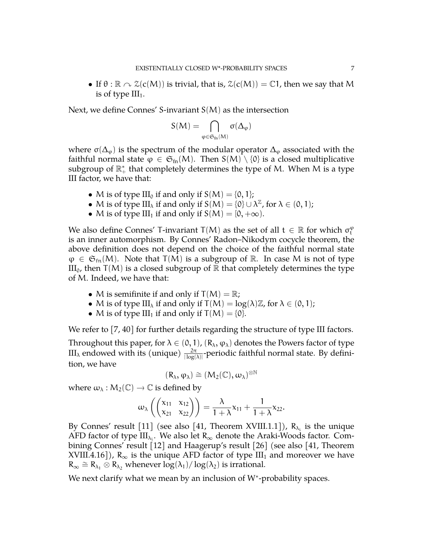• If  $\theta$ :  $\mathbb{R} \cap \mathcal{Z}(c(M))$  is trivial, that is,  $\mathcal{Z}(c(M)) = \mathbb{C}1$ , then we say that M is of type  $III_1$ .

Next, we define Connes' S-invariant  $S(M)$  as the intersection

$$
S(M)=\bigcap_{\phi\in\mathfrak{S}_{fn}(M)}\sigma(\Delta_{\phi})
$$

where  $\sigma(\Delta_{\varphi})$  is the spectrum of the modular operator  $\Delta_{\varphi}$  associated with the faithful normal state  $\varphi \in \mathfrak{S}_{fn}(M)$ . Then  $S(M) \setminus \{0\}$  is a closed multiplicative subgroup of  $\mathbb{R}_+^*$  that completely determines the type of M. When M is a type III factor, we have that:

- M is of type III<sub>0</sub> if and only if  $S(M) = \{0, 1\}$ ;
- M is of type III<sub> $\lambda$ </sub> if and only if  $S(M) = \{0\} \cup \lambda^{\mathbb{Z}}$ , for  $\lambda \in (0, 1)$ ;
- M is of type III<sub>1</sub> if and only if  $S(M) = [0, +\infty)$ .

We also define Connes' T-invariant  $T(M)$  as the set of all  $t \in \mathbb{R}$  for which  $\sigma_t^{\varphi}$ is an inner automorphism. By Connes' Radon–Nikodym cocycle theorem, the above definition does not depend on the choice of the faithful normal state  $\varphi \in \mathfrak{S}_{\text{fn}}(M)$ . Note that  $T(M)$  is a subgroup of R. In case M is not of type  $III_0$ , then T(M) is a closed subgroup of R that completely determines the type of M. Indeed, we have that:

- M is semifinite if and only if  $T(M) = \mathbb{R}$ ;
- M is of type III<sub> $\lambda$ </sub> if and only if  $T(M) = \log(\lambda) \mathbb{Z}$ , for  $\lambda \in (0,1)$ ;
- M is of type III<sub>1</sub> if and only if  $T(M) = \{0\}.$

We refer to [\[7,](#page-34-8) [40\]](#page-35-10) for further details regarding the structure of type III factors.

Throughout this paper, for  $\lambda \in (0,1)$ ,  $(R_\lambda, \varphi_\lambda)$  denotes the Powers factor of type  $\text{III}_{\lambda}$  endowed with its (unique)  $\frac{2\pi}{|\log(\lambda)|}$ -periodic faithful normal state. By definition, we have

$$
(R_\lambda,\phi_\lambda)\cong (M_2(\mathbb{C}),\omega_\lambda)^{\otimes \mathbb{N}}
$$

where  $\omega_{\lambda}: M_2(\mathbb{C}) \to \mathbb{C}$  is defined by

$$
\omega_{\lambda}\left(\begin{pmatrix} x_{11} & x_{12} \\ x_{21} & x_{22} \end{pmatrix}\right) = \frac{\lambda}{1+\lambda}x_{11} + \frac{1}{1+\lambda}x_{22}.
$$

By Connes' result [\[11\]](#page-34-9) (see also [\[41,](#page-36-0) Theorem XVIII.1.1]),  $R_{\lambda_i}$  is the unique AFD factor of type  $\text{III}_{\lambda_1}$ . We also let  $R_{\infty}$  denote the Araki-Woods factor. Combining Connes' result [\[12\]](#page-34-10) and Haagerup's result [\[26\]](#page-35-11) (see also [\[41,](#page-36-0) Theorem XVIII.4.16]),  $R_{\infty}$  is the unique AFD factor of type III<sub>1</sub> and moreover we have  $R_{\infty} \cong R_{\lambda_1} \otimes R_{\lambda_2}$  whenever  $\log(\lambda_1)/\log(\lambda_2)$  is irrational.

We next clarify what we mean by an inclusion of W<sup>∗</sup> -probability spaces.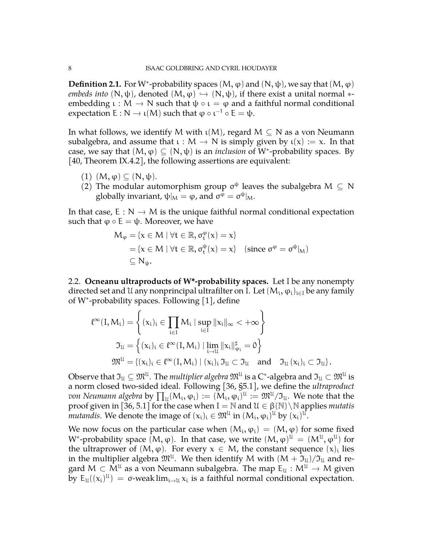**Definition 2.1.** For W<sup>\*</sup>-probability spaces  $(M, \varphi)$  and  $(N, \psi)$ , we say that  $(M, \varphi)$ *embeds into*  $(N, \psi)$ , denoted  $(M, \varphi) \hookrightarrow (N, \psi)$ , if there exist a unital normal  $*$ embedding  $\iota : M \to N$  such that  $\psi \circ \iota = \varphi$  and a faithful normal conditional expectation  $E: N \to \iota(M)$  such that  $\varphi \circ \iota^{-1} \circ E = \psi$ .

In what follows, we identify M with  $\iota(M)$ , regard  $M \subseteq N$  as a von Neumann subalgebra, and assume that  $\iota : M \to N$  is simply given by  $\iota(x) := x$ . In that case, we say that  $(M, \varphi) \subseteq (N, \psi)$  is an *inclusion* of W<sup>\*</sup>-probability spaces. By [\[40,](#page-35-10) Theorem IX.4.2], the following assertions are equivalent:

- (1)  $(M, \varphi) \subseteq (N, \psi)$ .
- (2) The modular automorphism group  $\sigma^{\psi}$  leaves the subalgebra  $M \subseteq N$ globally invariant,  $\psi|_M = \varphi$ , and  $\sigma^{\varphi} = \sigma^{\psi}|_M$ .

In that case,  $E : N \to M$  is the unique faithful normal conditional expectation such that  $\varphi \circ E = \psi$ . Moreover, we have

$$
M_{\varphi} = \{x \in M \mid \forall t \in \mathbb{R}, \sigma_t^{\varphi}(x) = x\}
$$
  
=  $\{x \in M \mid \forall t \in \mathbb{R}, \sigma_t^{\psi}(x) = x\}$  (since  $\sigma^{\varphi} = \sigma^{\psi}|_M$ )  
 $\subseteq N_{\psi}$ .

<span id="page-7-0"></span>2.2. **Ocneanu ultraproducts of W\*-probability spaces.** Let I be any nonempty directed set and U any nonprincipal ultrafilter on I. Let  $(M_i, \phi_i)_{i\in I}$  be any family of W<sup>∗</sup> -probability spaces. Following [\[1\]](#page-34-11), define

$$
\begin{aligned} \ell^\infty(I,M_i)&=\left\{ (x_i)_i\in \prod_{i\in I}M_i\mid \sup_{i\in I}\|x_i\|_\infty<+\infty \right\}\\ \mathfrak{I}_\mathfrak{U}&=\left\{ (x_i)_i\in \ell^\infty(I,M_i)\mid \lim_{i\to\mathfrak{U}}\|x_i\|_{\phi_i}^\sharp=0 \right\}\\ \mathfrak{M}^\mathfrak{U}&=\left\{ (x_i)_i\in \ell^\infty(I,M_i)\mid (x_i)_i\,\mathfrak{I}_\mathfrak{U}\subset \mathfrak{I}_\mathfrak{U} \quad \text{and} \quad \mathfrak{I}_\mathfrak{U}\left(x_i\right)_i\subset \mathfrak{I}_\mathfrak{U} \right\}. \end{aligned}
$$

Observe that  $\mathfrak I_{\mathfrak U}\subseteq \mathfrak M^{\mathfrak U}.$  The *multiplier algebra*  $\mathfrak M^{\mathfrak U}$  is a C\*-algebra and  $\mathfrak I_{\mathfrak U}\subset \mathfrak M^{\mathfrak U}$  is a norm closed two-sided ideal. Following [\[36,](#page-35-12) §5.1], we define the *ultraproduct von Neumann algebra* by  $\prod_u (M_i, \phi_i) := (M_i, \phi_i)^{\mathfrak{U}} := \mathfrak{M}^{\mathfrak{U}}/\mathfrak{I}_{\mathfrak{U}}.$  We note that the proof given in [\[36,](#page-35-12) 5.1] for the case when  $I = N$  and  $\mathcal{U} \in \beta(\mathbb{N}) \setminus N$  applies *mutatis mutandis*. We denote the image of  $(x_i)_i \in M^{\mathcal{U}}$  in  $(M_i, \varphi_i)^{\mathcal{U}}$  by  $(x_i)^{\mathcal{U}}$ .

We now focus on the particular case when  $(M_i, \varphi_i) = (M, \varphi)$  for some fixed W\*-probability space  $(M, \phi)$ . In that case, we write  $(M, \phi)^{\mathfrak{U}} = (M^{\mathfrak{U}}, \phi^{\mathfrak{U}})$  for the ultraprower of  $(M, \varphi)$ . For every  $x \in M$ , the constant sequence  $(x)_i$  lies in the multiplier algebra  $\mathfrak{M}^{\mathfrak{U}}$ . We then identify M with  $(\mathsf{M} + \mathfrak{I}_{\mathfrak{U}})/\mathfrak{I}_{\mathfrak{U}}$  and regard  $M \subset \tilde{M}^{\mathfrak{U}}$  as a von Neumann subalgebra. The map  $E_{\mathfrak{U}} : M^{\mathfrak{U}} \to M$  given by  $E_u((x_i)^u) = \sigma$ -weak  $\lim_{i \to u} x_i$  is a faithful normal conditional expectation.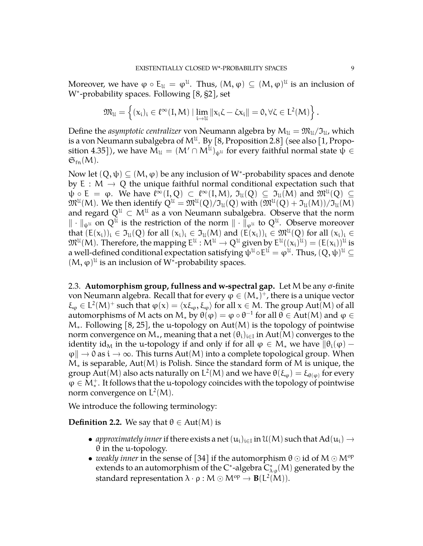Moreover, we have  $\phi\circ \mathsf{E}_\mathfrak{U}=\phi^\mathfrak{U}.$  Thus,  $(\mathsf{M},\phi)\subseteq (\mathsf{M},\phi)^\mathfrak{U}$  is an inclusion of W<sup>∗</sup> -probability spaces. Following [\[8,](#page-34-12) §2], set

$$
\mathfrak{M}_{\mathfrak{U}}=\left\{(\boldsymbol{x}_i)_i\in \ell^\infty(I,M)\mid \lim_{i\to\mathfrak{U}}\|\boldsymbol{x}_i\boldsymbol{\zeta}-\boldsymbol{\zeta}\boldsymbol{x}_i\|=0, \forall \boldsymbol{\zeta}\in L^2(M)\right\}.
$$

Define the *asymptotic centralizer* von Neumann algebra by  $M_u = \mathfrak{M}_u / \mathfrak{I}_u$ , which is a von Neumann subalgebra of M $^{\mathfrak{U}}$ . By [\[8,](#page-34-12) Proposition 2.8] (see also [\[1,](#page-34-11) Proposition 4.35]), we have  $\mathsf{M}_{\mathfrak{U}}=(\mathsf{M}'\cap \mathsf{M}^{\mathfrak{U}})_{\psi^{\mathfrak{U}}}$  for every faithful normal state  $\psi\in$  $\mathfrak{S}_{\text{fn}}(M)$ .

Now let  $(Q, \psi) \subseteq (M, \varphi)$  be any inclusion of W<sup>\*</sup>-probability spaces and denote by E :  $M \rightarrow Q$  the unique faithful normal conditional expectation such that  $\psi \circ E = \varphi$ . We have  $\ell^{\infty}(I, Q) \subset \ell^{\infty}(I, M)$ ,  $\mathfrak{I}_{\mathfrak{U}}(Q) \subseteq \mathfrak{I}_{\mathfrak{U}}(M)$  and  $\mathfrak{M}^{\mathfrak{U}}(Q) \subseteq$  $\mathfrak M^{\mathfrak U}(M).$  We then identify  $Q^{\mathfrak U}=\mathfrak M^{\mathfrak U}(Q)/\mathfrak I_{\mathfrak U}(Q)$  with  $(\mathfrak M^{\mathfrak U}(Q)+\mathfrak I_{\mathfrak U}(M))/\mathfrak I_{\mathfrak U}(M)$ and regard  $Q^{\mathfrak{U}} \subset M^{\mathfrak{U}}$  as a von Neumann subalgebra. Observe that the norm  $\|\cdot\|_{\psi^u}$  on  $Q^u$  is the restriction of the norm  $\|\cdot\|_{\varphi^u}$  to  $Q^u$ . Observe moreover that  $(E(x_i))_i \in \mathfrak{I}_U(Q)$  for all  $(x_i)_i \in \mathfrak{I}_U(M)$  and  $(E(x_i))_i \in \mathfrak{M}^U(Q)$  for all  $(x_i)_i \in$  $\mathfrak{M}^{\mathfrak{U}}(\mathsf{M})$ . Therefore, the mapping  $\mathsf{E}^{\mathfrak{U}}:\mathsf{M}^{\mathfrak{U}}\to\mathsf{Q}^{\mathfrak{U}}$  given by  $\mathsf{E}^{\mathfrak{U}}((x_i)^{\mathfrak{U}}) = (\mathsf{E}(x_i))^{\mathfrak{U}}$  is a well-defined conditional expectation satisfying  $\psi^{\mathfrak{U}}\circ \mathsf{E}^{\mathfrak{U}}=\varphi^{\mathfrak{U}}.$  Thus,  $(Q,\psi)^{\mathfrak{U}}\subseteq$ (M,  $\varphi$ )<sup>*ll*</sup> is an inclusion of W<sup>\*</sup>-probability spaces.

<span id="page-8-0"></span>2.3. **Automorphism group, fullness and w-spectral gap.** Let M be any σ-finite von Neumann algebra. Recall that for every  $\varphi \in (M_*)^+$ , there is a unique vector  $\xi_{\varphi} \in L^2(M)^+$  such that  $\varphi(x) = \langle x \xi_{\varphi}, \xi_{\varphi} \rangle$  for all  $x \in M$ . The group Aut(M) of all automorphisms of M acts on  $M_*$  by  $\theta(\varphi) = \varphi \circ \theta^{-1}$  for all  $\theta \in Aut(M)$  and  $\varphi \in$ M∗. Following [\[8,](#page-34-12) [25\]](#page-35-9), the u-topology on Aut(M) is the topology of pointwise norm convergence on  $\mathsf{M}_{*}$ , meaning that a net  $(\theta_{\mathfrak{i}})_{\mathfrak{i}\in \mathfrak{l}}$  in  $\mathrm{Aut}(\mathsf{M})$  converges to the identity id<sub>M</sub> in the u-topology if and only if for all  $\varphi \in M_*$  we have  $\|\theta_i(\varphi) \|\varphi\| \to 0$  as  $i \to \infty$ . This turns Aut(M) into a complete topological group. When M<sup>∗</sup> is separable, Aut(M) is Polish. Since the standard form of M is unique, the group Aut(M) also acts naturally on  $L^2(M)$  and we have  $\theta(\xi_{\varphi}) = \xi_{\theta(\varphi)}$  for every  $\varphi \in M_*^+$ . It follows that the u-topology coincides with the topology of pointwise norm convergence on  $L^2(M)$ .

We introduce the following terminology:

**Definition 2.2.** We say that  $\theta \in \text{Aut}(M)$  is

- *approximately inner* if there exists a net  $(u_i)_{i \in I}$  in  $\mathcal{U}(M)$  such that  $Ad(u_i) \rightarrow 0$  in the u tenelogy. θ in the u-topology.
- *weakly inner* in the sense of [\[34\]](#page-35-13) if the automorphism  $\theta \odot id$  of  $M \odot M^{\rm op}$ extends to an automorphism of the C\*-algebra  $\overline{C_{\lambda \cdot \rho}^*(\mathcal{M})}$  generated by the standard representation  $\lambda \cdot \rho : M \odot M^{\rm op} \rightarrow B(L^2(M)).$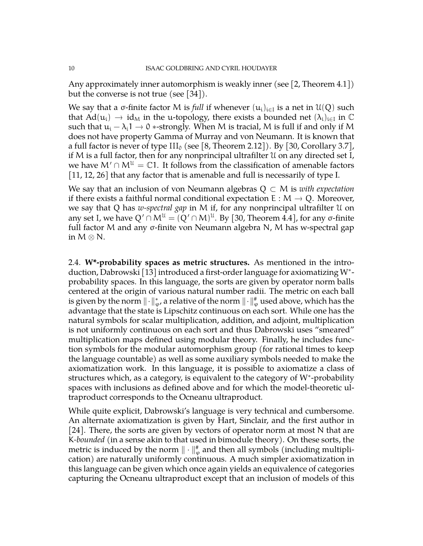Any approximately inner automorphism is weakly inner (see [\[2,](#page-34-13) Theorem 4.1]) but the converse is not true (see [\[34\]](#page-35-13)).

We say that a  $\sigma$ -finite factor M is *full* if whenever  $(u_i)_{i\in I}$  is a net in  $\mathfrak{U}(Q)$  such that  $Ad(u_i) \rightarrow id_M$  in the u-topology, there exists a bounded net  $(\lambda_i)_{i \in I}$  in  $\mathbb C$ <br>such that  $u_i \rightarrow 1$ ,  $\lambda_i$  strengths  $M$  is tracial.  $M$  is full if and split if  $M$ such that  $u_i - \lambda_i$ 1  $\rightarrow$  0  $*$ -strongly. When M is tracial, M is full if and only if M does not have property Gamma of Murray and von Neumann. It is known that a full factor is never of type  $III_0$  (see [\[8,](#page-34-12) Theorem 2.12]). By [\[30,](#page-35-14) Corollary 3.7], if M is a full factor, then for any nonprincipal ultrafilter U on any directed set I, we have  $M' \cap M^{\mathfrak{U}} = \mathbb{C}1$ . It follows from the classification of amenable factors [\[11,](#page-34-9) [12,](#page-34-10) [26\]](#page-35-11) that any factor that is amenable and full is necessarily of type I.

We say that an inclusion of von Neumann algebras Q ⊂ M is *with expectation* if there exists a faithful normal conditional expectation  $E : M \to Q$ . Moreover, we say that Q has *w-spectral gap* in M if, for any nonprincipal ultrafilter U on any set I, we have  $Q' \cap M^{\mathfrak{U}} = (Q' \cap M)^{\mathfrak{U}}$ . By [\[30,](#page-35-14) Theorem 4.4], for any  $\sigma\text{-finite}$ full factor M and any σ-finite von Neumann algebra N, M has w-spectral gap in  $M \otimes N$ .

<span id="page-9-0"></span>2.4. **W\*-probability spaces as metric structures.** As mentioned in the introduction, Dabrowski [\[13\]](#page-34-4) introduced a first-order language for axiomatizing W<sup>∗</sup> probability spaces. In this language, the sorts are given by operator norm balls centered at the origin of various natural number radii. The metric on each ball is given by the norm  $\|\cdot\|_\varphi^*$ , a relative of the norm  $\|\cdot\|_\varphi^*$  used above, which has the advantage that the state is Lipschitz continuous on each sort. While one has the natural symbols for scalar multiplication, addition, and adjoint, multiplication is not uniformly continuous on each sort and thus Dabrowski uses "smeared" multiplication maps defined using modular theory. Finally, he includes function symbols for the modular automorphism group (for rational times to keep the language countable) as well as some auxiliary symbols needed to make the axiomatization work. In this language, it is possible to axiomatize a class of structures which, as a category, is equivalent to the category of W<sup>\*</sup>-probability spaces with inclusions as defined above and for which the model-theoretic ultraproduct corresponds to the Ocneanu ultraproduct.

While quite explicit, Dabrowski's language is very technical and cumbersome. An alternate axiomatization is given by Hart, Sinclair, and the first author in [\[24\]](#page-35-3). There, the sorts are given by vectors of operator norm at most N that are K*-bounded* (in a sense akin to that used in bimodule theory). On these sorts, the metric is induced by the norm  $\|\cdot\|_\phi^{\#}$  and then all symbols (including multiplication) are naturally uniformly continuous. A much simpler axiomatization in this language can be given which once again yields an equivalence of categories capturing the Ocneanu ultraproduct except that an inclusion of models of this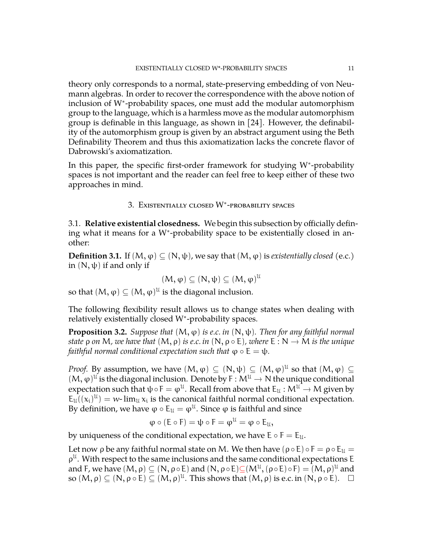theory only corresponds to a normal, state-preserving embedding of von Neumann algebras. In order to recover the correspondence with the above notion of inclusion of W<sup>∗</sup> -probability spaces, one must add the modular automorphism group to the language, which is a harmless move as the modular automorphism group is definable in this language, as shown in [\[24\]](#page-35-3). However, the definability of the automorphism group is given by an abstract argument using the Beth Definability Theorem and thus this axiomatization lacks the concrete flavor of Dabrowski's axiomatization.

In this paper, the specific first-order framework for studying W<sup>\*</sup>-probability spaces is not important and the reader can feel free to keep either of these two approaches in mind.

# 3. Existentially closed W<sup>∗</sup> -probability spaces

<span id="page-10-1"></span><span id="page-10-0"></span>3.1. **Relative existential closedness.** We begin this subsection by officially defining what it means for a W<sup>∗</sup> -probability space to be existentially closed in another:

**Definition 3.1.** If  $(M, \varphi) \subseteq (N, \psi)$ , we say that  $(M, \varphi)$  is *existentially closed* (e.c.) in  $(N, \psi)$  if and only if

$$
(M,\phi) \subseteq (N,\psi) \subseteq (M,\phi)^{\mathcal{U}}
$$

so that  $(M, \varphi) \subseteq (M, \varphi)^{\mathfrak{U}}$  is the diagonal inclusion.

The following flexibility result allows us to change states when dealing with relatively existentially closed W<sup>∗</sup> -probability spaces.

<span id="page-10-2"></span>**Proposition 3.2.** *Suppose that*  $(M, \varphi)$  *is e.c. in*  $(N, \psi)$ *. Then for any faithful normal state*  $\rho$  *on* M, we have that  $(M, \rho)$  *is e.c. in*  $(N, \rho \circ E)$ , where  $E : N \to M$  *is the unique faithful normal conditional expectation such that*  $\varphi \circ E = \psi$ *.* 

*Proof.* By assumption, we have  $(M, \varphi) \subseteq (N, \psi) \subseteq (M, \varphi)^{\mathfrak{U}}$  so that  $(M, \varphi) \subseteq$  $(M, \varphi)^{\mathcal{U}}$  is the diagonal inclusion. Denote by  $F : M^{\mathcal{U}} \to N$  the unique conditional connectation and the table  $F \to M^{\mathcal{U}} \to M$  since here expectation such that  $\psi \circ F = \varphi^{\mathfrak{U}}$ . Recall from above that  $E_{\mathfrak{U}} : \mathcal{M}^{\mathfrak{U}} \to \mathcal{M}$  given by  $E_u((x_i)^u) = w$ -lim<sub>u</sub>  $x_i$  is the canonical faithful normal conditional expectation. By definition, we have  $\phi \circ \mathsf{E}_\mathfrak{U} = \phi^\mathfrak{U}.$  Since  $\phi$  is faithful and since

$$
\phi\circ(E\circ F)=\psi\circ F=\phi^{\mathfrak{U}}=\phi\circ E_{\mathfrak{U}},
$$

by uniqueness of the conditional expectation, we have  $E \circ F = E_u$ .

Let now  $\rho$  be any faithful normal state on M. We then have  $(\rho \circ E) \circ F = \rho \circ E_u =$  $\rho^{u}$ . With respect to the same inclusions and the same conditional expectations E and F, we have  $(M,\rho)\subseteq (N,\rho\circ E)$  and  $(N,\rho\circ E){\subseteq}(M^{\mathcal U},(\rho\circ E)\circ F)=(M,\rho)^{\mathcal U}$  and so  $(M, \rho) \subseteq (N, \rho \circ E) \subseteq (M, \rho)^{\mathfrak{U}}$ . This shows that  $(M, \rho)$  is e.c. in  $(N, \rho \circ E)$ .  $\Box$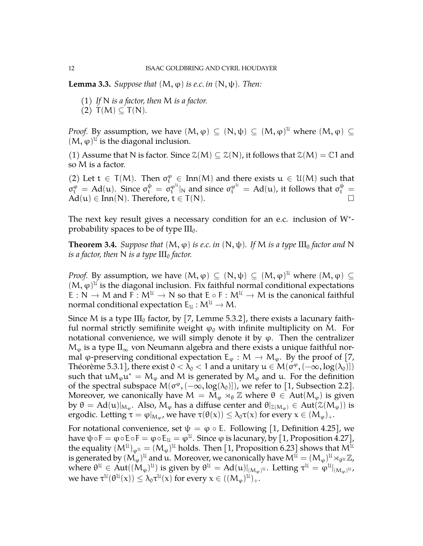<span id="page-11-0"></span>**Lemma 3.3.** *Suppose that*  $(M, \varphi)$  *is e.c. in*  $(N, \psi)$ *. Then:* 

- (1) *If* N *is a factor, then* M *is a factor.*
- (2)  $T(M) \subset T(N)$ .

*Proof.* By assumption, we have  $(M, \varphi) \subseteq (N, \psi) \subseteq (M, \varphi)^{\mathfrak{U}}$  where  $(M, \varphi) \subseteq$  $(M, \varphi)$ <sup>ll</sup> is the diagonal inclusion.

(1) Assume that N is factor. Since  $\mathcal{Z}(M) \subseteq \mathcal{Z}(N)$ , it follows that  $\mathcal{Z}(M) = \mathbb{C}1$  and so M is a factor.

(2) Let  $t \in T(M)$ . Then  $\sigma_t^{\varphi} \in Inn(M)$  and there exists  $u \in \mathcal{U}(M)$  such that  $\sigma_t^{\varphi} = Ad(u)$ . Since  $\sigma_t^{\psi} = \sigma_t^{\varphi^{u}}|_N$  and since  $\sigma_t^{\varphi^{u}} = Ad(u)$ , it follows that  $\sigma_t^{\psi} =$  $Ad(u) \in Inn(N)$ . Therefore,  $t \in T(N)$ .

The next key result gives a necessary condition for an e.c. inclusion of W<sup>\*</sup>probability spaces to be of type  $III_0$ .

<span id="page-11-1"></span>**Theorem 3.4.** *Suppose that*  $(M, \varphi)$  *is e.c. in*  $(N, \psi)$ *. If* M *is a type*  $III_0$  *factor and* N *is a factor, then* N *is a type*  $III_0$  *factor.* 

*Proof.* By assumption, we have  $(M, \varphi) \subseteq (N, \psi) \subseteq (M, \varphi)^{\mathcal{U}}$  where  $(M, \varphi) \subseteq$  $(M, \varphi)$ <sup>ll</sup> is the diagonal inclusion. Fix faithful normal conditional expectations E : N  $\rightarrow$  M and F :  $M^{\mathfrak{U}} \rightarrow N$  so that  $E \circ F : M^{\mathfrak{U}} \rightarrow M$  is the canonical faithful normal conditional expectation  $E_{\mathcal{U}} : M^{\mathcal{U}} \to M$ .

Since M is a type  $III_0$  factor, by [\[7,](#page-34-8) Lemme 5.3.2], there exists a lacunary faithful normal strictly semifinite weight  $\varphi_0$  with infinite multiplicity on M. For notational convenience, we will simply denote it by  $\varphi$ . Then the centralizer  $M_{\varphi}$  is a type  $II_{\infty}$  von Neumann algebra and there exists a unique faithful normal  $\varphi$ -preserving conditional expectation  $E_{\varphi}: M \to M_{\varphi}$ . By the proof of [\[7,](#page-34-8) Théorème 5.3.1], there exist  $0 < \lambda_0 < 1$  and a unitary  $u \in M(\sigma^{\varphi}, (-\infty, \log(\lambda_0))]$ such that  $uM_{\varphi}u^* = M_{\varphi}$  and M is generated by  $M_{\varphi}$  and  $u$ . For the definition of the spectral subspace  $M(\sigma^{\varphi}, (-\infty, \log(\lambda_0)])$ , we refer to [\[1,](#page-34-11) Subsection 2.2]. Moreover, we canonically have  $M = M_{\varphi} \rtimes_{\theta} \mathbb{Z}$  where  $\theta \in Aut(M_{\varphi})$  is given by θ = Ad(u)|<sub>Mφ</sub>. Also, M<sub>φ</sub> has a diffuse center and  $θ|_{\mathcal{Z}(M_{\phi})} \in Aut(\mathcal{Z}(M_{\phi}))$  is ergodic. Letting  $\tau = \varphi|_{M_{\varphi}}$ , we have  $\tau(\theta(x)) \leq \lambda_0 \tau(x)$  for every  $x \in (M_{\varphi})_+.$ 

For notational convenience, set  $\psi = \varphi \circ E$ . Following [\[1,](#page-34-11) Definition 4.25], we have  $\psi \circ \mathsf{F} = \phi \circ \mathsf{E} \circ \mathsf{F} = \phi \circ \mathsf{E}_\mathfrak{U} = \phi^\mathfrak{U}.$  Since  $\phi$  is lacunary, by [\[1,](#page-34-11) Proposition 4.27], the equality  $({\mathsf{M}}^{\mathfrak{U}})_{\varphi^{\mathfrak{U}}} = ({\mathsf{M}}_{\varphi})^{\mathfrak{U}}$  holds. Then [\[1,](#page-34-11) Proposition 6.23] shows that  ${\mathsf{M}}^{\mathfrak{U}}$ is generated by  $(M_\varphi)^\mathfrak{U}$  and  $\mathfrak{u}.$  Moreover, we canonically have  $M^{\bar{\mathfrak{U}}}=(M_\varphi)^\mathfrak{U}\rtimes_{\theta^\mathfrak{U}}\mathbb{Z}$ , where  $\theta^\mathfrak{U}\in \text{Aut}((\mathsf{M}_\varphi)^\mathfrak{U})$  is given by  $\theta^\mathfrak{U}=\text{Ad}(\mathfrak{u})|_{(\mathsf{M}_\varphi)^\mathfrak{U}}.$  Letting  $\tau^\mathfrak{U}=\phi^\mathfrak{U}|_{(\mathsf{M}_\varphi)^\mathfrak{U}}$ , we have  $\tau^{\mathfrak{U}}(\theta^{\mathfrak{U}}(\mathsf{x})) \leq \lambda_0 \tau^{\mathfrak{U}}(\mathsf{x})$  for every  $\mathsf{x} \in ((\mathsf{M}_{\varphi})^{\mathfrak{U}})_+.$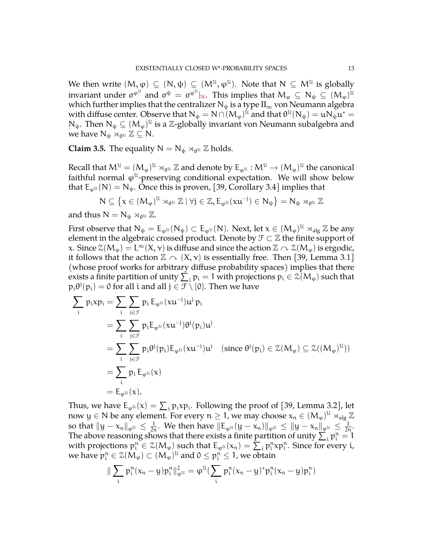We then write  $(M,\phi) \subseteq (N,\psi) \subseteq (M^{\mathfrak{U}},\phi^{\mathfrak{U}}).$  Note that  $N \subseteq M^{\mathfrak{U}}$  is globally invariant under  $\sigma^{\phi^{\mathfrak{U}}}$  and  $\sigma^{\psi}~=~\sigma^{\phi^{\mathfrak{U}}}|_N.$  This implies that  $\mathsf{M}_{\phi}~\subseteq~\mathsf{N}_{\psi}~\subseteq~(\mathsf{M}_{\phi})^{\mathfrak{U}}$ which further implies that the centralizer  $N_{\psi}$  is a type  $II_{\infty}$  von Neumann algebra with diffuse center. Observe that  $N_\psi = N \cap (M_\phi)^{\mathfrak{U}}$  and that  $\theta^{\mathfrak{U}}(N_\psi) = \mathfrak{u} N_\psi \mathfrak{u}^* = 0$ N<sub>ψ</sub>. Then  $N_{\psi} \subseteq (M_{\varphi})^{\mathfrak{U}}$  is a Z-globally invariant von Neumann subalgebra and we have  $N_{\psi} \rtimes_{\theta^{\mathfrak{U}}} \mathbb{Z} \subseteq N$ .

<span id="page-12-0"></span>**Claim 3.5.** The equality  $N = N_{\psi} \rtimes_{\theta^{\mathfrak{U}}} \mathbb{Z}$  holds.

Recall that  $M^{\mathcal{U}} = (M_{\varphi})^{\mathcal{U}} \rtimes_{\theta^{\mathcal{U}}} \mathbb{Z}$  and denote by  $E_{\varphi^{\mathcal{U}}} : M^{\mathcal{U}} \to (M_{\varphi})^{\mathcal{U}}$  the canonical faithful negroes all glumps can ditional expectation. We will show help you faithful normal  $\varphi^{\mathfrak{U}}$ -preserving conditional expectation. We will show below that  $E_{\varphi^{\mathfrak{U}}}(N) = N_{\psi}$ . Once this is proven, [\[39,](#page-35-15) Corollary 3.4] implies that

$$
N\subseteq \left\{x\in (M_{\phi})^{\mathfrak{U}}\rtimes_{\theta^{\mathfrak{U}}}\mathbb{Z}\mid \forall j\in\mathbb{Z}, E_{\phi^{\mathfrak{U}}}(xu^{-j})\in N_{\psi}\right\}=N_{\psi}\rtimes_{\theta^{\mathfrak{U}}}\mathbb{Z}
$$

and thus  $N = N_{\psi} \rtimes_{\theta^{\mathfrak{U}}} \mathbb{Z}$ .

First observe that  $N_{\psi} = E_{\varphi^u}(N_{\psi}) \subset E_{\varphi^u}(N)$ . Next, let  $x \in (M_{\varphi})^{\mathcal{U}} \rtimes_{\text{alg}} \mathbb{Z}$  be any element in the algebraic crossed product. Denote by  $\mathcal{F} \subset \mathbb{Z}$  the finite support of x. Since  $\mathcal{Z}(M_{\varphi}) = L^{\infty}(X, \nu)$  is diffuse and since the action  $\mathbb{Z} \curvearrowright \mathcal{Z}(M_{\varphi})$  is ergodic, it follows that the action  $\mathbb{Z} \curvearrowright (X, v)$  is essentially free. Then [\[39,](#page-35-15) Lemma 3.1] (whose proof works for arbitrary diffuse probability spaces) implies that there exists a finite partition of unity  $\sum_i p_i = 1$  with projections  $p_i \in \mathcal{Z}(M_\phi)$  such that  $p_i\theta^j(p_i)=0$  for all i and all  $j\in \mathcal{F}\setminus\{0\}.$  Then we have

$$
\begin{aligned}\n\sum_{i} p_i x p_i &= \sum_{i} \sum_{j \in \mathcal{F}} p_i E_{\varphi^{\mathcal{U}}}(x u^{-j}) u^j p_i \\
&= \sum_{i} \sum_{j \in \mathcal{F}} p_i E_{\varphi^{\mathcal{U}}}(x u^{-j}) \theta^j(p_i) u^j \\
&= \sum_{i} \sum_{j \in \mathcal{F}} p_i \theta^j(p_i) E_{\varphi^{\mathcal{U}}}(x u^{-j}) u^j \quad (\text{since } \theta^j(p_i) \in \mathcal{Z}(M_{\varphi}) \subseteq \mathcal{Z}((M_{\varphi})^{\mathcal{U}})) \\
&= \sum_{i} p_i E_{\varphi^{\mathcal{U}}}(x) \\
&= E_{\varphi^{\mathcal{U}}}(x).\n\end{aligned}
$$

Thus, we have  $E_{\varphi^U}(x) = \sum_i p_i x p_i$ . Following the proof of [\[39,](#page-35-15) Lemma 3.2], let now  $y \in N$  be any element. For every  $n \geq 1$ , we may choose  $x_n \in (M_{\varphi})^{\mathfrak{U}}$   $\rtimes_{\text{alg}} \mathbb{Z}$ so that  $||y - x_n||_{\varphi^u} \leq \frac{1}{2n}$ . We then have  $||E_{\varphi^u}(y - x_n)||_{\varphi^u} \leq ||y - x_n||_{\varphi^u} \leq \frac{1}{2n}$ . The above reasoning shows that there exists a finite partition of unity  $\sum_i p_i^n = 1$ with projections  $p_i^n \in \mathcal{Z}(M_\varphi)$  such that  $E_{\varphi^u}(x_n) = \sum_i p_i^n x p_i^n$ . Since for every i, we have  $p_i^n \in \mathcal{Z}(M_\varphi) \subset (M_\varphi)^{\mathfrak{U}}$  and  $0 \leq p_i^n \leq 1$ , we obtain

$$
\|\sum_i \, p_i^n(x_n-y) p_i^n\|_{\phi^{\mathfrak{U}}}^2 = \phi^{\mathfrak{U}}(\sum_i \, p_i^n(x_n-y)^* p_i^n(x_n-y) p_i^n)
$$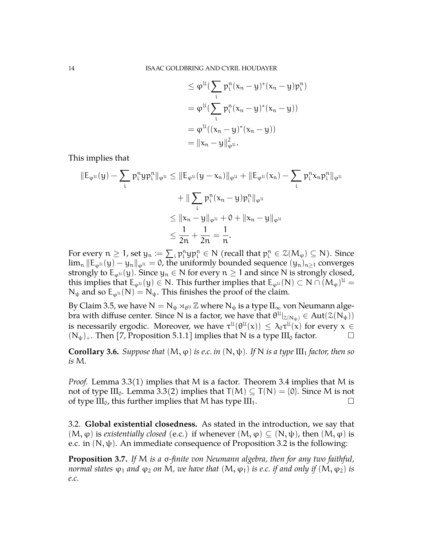$$
\leq \varphi^{u} \left( \sum_{i} p_{i}^{n} (x_{n} - y)^{*} (x_{n} - y) p_{i}^{n} \right)
$$
\n
$$
= \varphi^{u} \left( \sum_{i} p_{i}^{n} (x_{n} - y)^{*} (x_{n} - y) \right)
$$
\n
$$
= \varphi^{u} \left( (x_{n} - y)^{*} (x_{n} - y) \right)
$$
\n
$$
= ||x_{n} - y||_{\varphi^{u}}^{2}.
$$

This implies that

$$
\|E_{\varphi^{u}}(y) - \sum_{i} p_{i}^{n} y p_{i}^{n}\|_{\varphi^{u}} \leq \|E_{\varphi^{u}}(y - x_{n})\|_{\varphi^{u}} + \|E_{\varphi^{u}}(x_{n}) - \sum_{i} p_{i}^{n} x_{n} p_{i}^{n}\|_{\varphi^{u}}
$$
  
+ 
$$
\|\sum_{i} p_{i}^{n} (x_{n} - y) p_{i}^{n}\|_{\varphi^{u}}
$$
  

$$
\leq \|x_{n} - y\|_{\varphi^{u}} + 0 + \|x_{n} - y\|_{\varphi^{u}}
$$
  

$$
\leq \frac{1}{2n} + \frac{1}{2n} = \frac{1}{n}.
$$

For every  $n \geq 1$ , set  $y_n := \sum_i p_i^n y p_i^n \in N$  (recall that  $p_i^n \in \mathcal{Z}(M_\varphi) \subseteq N$ ). Since  $\lim_{n} ||E_{\omega^U}(y) - y_n||_{\omega^U} = 0$ , the uniformly bounded sequence  $(y_n)_{n \geq 1}$  converges strongly to  $E_{\omega^u}(y)$ . Since  $y_n \in N$  for every  $n \ge 1$  and since N is strongly closed, this implies that  $E_{\varphi^U}(y) \in N$ . This further implies that  $E_{\varphi^U}(N) \subset N \cap (M_{\varphi})^U =$  $N_{\psi}$  and so  $E_{\omega}u(N) = N_{\psi}$ . This finishes the proof of the claim.

By Claim [3.5,](#page-12-0) we have  $N = N_{\psi} \rtimes_{\theta^{\mathfrak{U}}} \mathbb{Z}$  where  $N_{\psi}$  is a type  $\prod_{\infty}$  von Neumann algebra with diffuse center. Since N is a factor, we have that  $\theta^\mathfrak{U}|_{\mathcal{Z}(N_\psi)}\in \text{Aut}(\mathcal{Z}(N_\psi))$ is necessarily ergodic. Moreover, we have  $\tau^{ll}(\theta^{ll}(x)) \leq \lambda_0 \tau^{ll}(x)$  for every  $x \in$  $(N_{\psi})_+$ . Then [\[7,](#page-34-8) Proposition 5.1.1] implies that N is a type III<sub>0</sub> factor.

<span id="page-13-1"></span>**Corollary 3.6.** *Suppose that*  $(M, \varphi)$  *is e.c. in*  $(N, \psi)$ *. If* N *is a type*  $III_1$  *factor, then so is* M*.*

*Proof.* Lemma [3.3\(](#page-11-0)1) implies that M is a factor. Theorem [3.4](#page-11-1) implies that M is not of type III<sub>0</sub>. Lemma [3.3\(](#page-11-0)2) implies that  $T(M) \subseteq T(N) = \{0\}$ . Since M is not of type  $III_0$ , this further implies that M has type  $III_1$ .

<span id="page-13-0"></span>3.2. **Global existential closedness.** As stated in the introduction, we say that  $(M, \varphi)$  is *existentially closed* (e.c.) if whenever  $(M, \varphi) \subset (N, \psi)$ , then  $(M, \varphi)$  is e.c. in  $(N, \psi)$ . An immediate consequence of Proposition [3.2](#page-10-2) is the following:

<span id="page-13-2"></span>**Proposition 3.7.** *If* M *is a* σ*-finite von Neumann algebra, then for any two faithful, normal states*  $\varphi_1$  *and*  $\varphi_2$  *on* M, we have that  $(M, \varphi_1)$  *is e.c. if and only if*  $(M, \varphi_2)$  *is e.c.*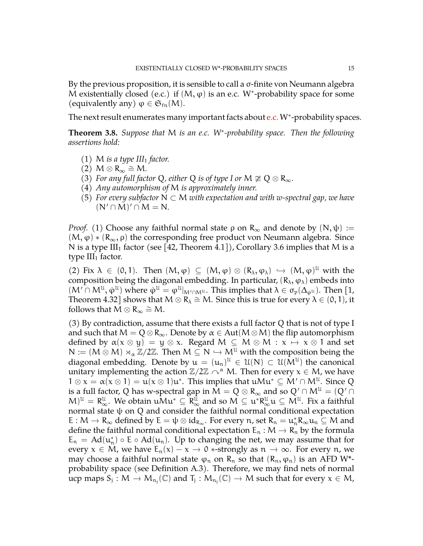By the previous proposition, it is sensible to call a σ-finite von Neumann algebra M existentially closed (e.c.) if  $(M, \varphi)$  is an e.c. W\*-probability space for some (equivalently any)  $\varphi \in \mathfrak{S}_{\text{fn}}(M)$ .

The next result enumerates many important facts about e.c. W<sup>\*</sup>-probability spaces.

<span id="page-14-0"></span>**Theorem 3.8.** *Suppose that* M *is an e.c. W*<sup>∗</sup> *-probability space. Then the following assertions hold:*

- (1) M *is a type III*<sub>1</sub> *factor.*
- $(2)$  M  $\otimes$  R<sub>∞</sub>  $\cong$  M.
- (3) *For any full factor* Q, either Q *is of type I or*  $M \not\cong Q \otimes R_{\infty}$ *.*
- (4) *Any automorphism of* M *is approximately inner.*
- (5) *For every subfactor* N ⊂ M *with expectation and with w-spectral gap, we have*  $(N' \cap M)' \cap M = N.$

*Proof.* (1) Choose any faithful normal state  $\rho$  on  $R_{\infty}$  and denote by  $(N, \psi) :=$  $(M, \varphi) * (R_{\infty}, \rho)$  the corresponding free product von Neumann algebra. Since N is a type III<sub>1</sub> factor (see [\[42,](#page-36-1) Theorem 4.1]), Corollary [3.6](#page-13-1) implies that M is a type  $III_1$  factor.

(2) Fix  $\lambda \in (0, 1)$ . Then  $(M, \varphi) \subseteq (M, \varphi) \otimes (R_{\lambda}, \varphi_{\lambda}) \hookrightarrow (M, \varphi)^{U}$  with the composition being the diagonal embedding. In particular,  $(R_{\lambda}, \varphi_{\lambda})$  embeds into  $(M' \cap M^{\mathcal{U}}, \dot{\varphi}^{\mathcal{U}})$  where  $\dot{\varphi}^{\mathcal{U}} = \varphi^{\mathcal{U}}|_{M' \cap M^{\mathcal{U}}}$ . This implies that  $\lambda \in \sigma_p(\Delta_{\varphi^{\mathcal{U}}})$ . Then [\[1,](#page-34-11) Theorem 4.32] shows that  $M \otimes R_\lambda \cong M$ . Since this is true for every  $\lambda \in (0, 1)$ , it follows that  $M \otimes R_{\infty} \cong M$ .

(3) By contradiction, assume that there exists a full factor Q that is not of type I and such that  $M = Q \otimes R_{\infty}$ . Denote by  $\alpha \in Aut(M \otimes M)$  the flip automorphism defined by  $\alpha(x \otimes y) = y \otimes x$ . Regard  $M \subseteq M \otimes M : x \mapsto x \otimes 1$  and set  $N := (M \otimes M) \rtimes_{\alpha} \mathbb{Z}/2\mathbb{Z}$ . Then  $M \subseteq N \hookrightarrow M^{\mathcal{U}}$  with the composition being the diagonal embedding. Denote by  $u = (u_n)^{\mathfrak{U}} \in \mathfrak{U}(N) \subset \mathfrak{U}(M^{\mathfrak{U}})$  the canonical unitary implementing the action  $\mathbb{Z}/2\mathbb{Z} \curvearrowright^{\alpha} M$ . Then for every  $x \in M$ , we have  $1 \otimes x = \alpha(x \otimes 1) = u(x \otimes 1)u^*$ . This implies that  $uMu^* \subseteq M' \cap M^{\mathfrak{U}}$ . Since Q is a full factor, Q has w-spectral gap in  $\overline{M} = Q \otimes R_{\infty}$  and so  $Q' \cap M^{\mathfrak{U}} = (Q' \cap R)$  $(M)^{\mathcal{U}} = \mathsf{R}_{\infty}^{\mathcal{U}}$ . We obtain  $\mathfrak{u} \mathsf{M} \mathfrak{u}^{\mathcal{U}} \subseteq \mathsf{R}_{\infty}^{\mathcal{U}}$  and so  $M \subseteq \mathfrak{u}^*\mathsf{R}_{\infty}^{\mathcal{U}} \mathfrak{u} \subseteq \mathsf{M}^{\mathcal{U}}$ . Fix a faithful normal state ψ on Q and consider the faithful normal conditional expectation  $E : M \to R_{\infty}$  defined by  $E = \psi \otimes id_{R_{\infty}}$ . For every n, set  $R_n = u_n^* R_{\infty} u_n \subseteq M$  and define the formula define the faithful normal conditional expectation  $E_n : M \to R_n$  by the formula  $E_n = \text{Ad}(u_n^*) \circ E \circ \text{Ad}(u_n)$ . Up to changing the net, we may assume that for every  $x \in M$ , we have  $E_n(x) - x \to 0$  \*-strongly as  $n \to \infty$ . For every n, we may choose a faithful normal state  $\varphi_n$  on  $R_n$  so that  $(R_n, \varphi_n)$  is an AFD W<sup>\*</sup>probability space (see Definition [A.3\)](#page-29-0). Therefore, we may find nets of normal ucp maps  $S_j: M \to M_{n_j}(\mathbb{C})$  and  $T_j: M_{n_j}(\mathbb{C}) \to M$  such that for every  $x \in M$ ,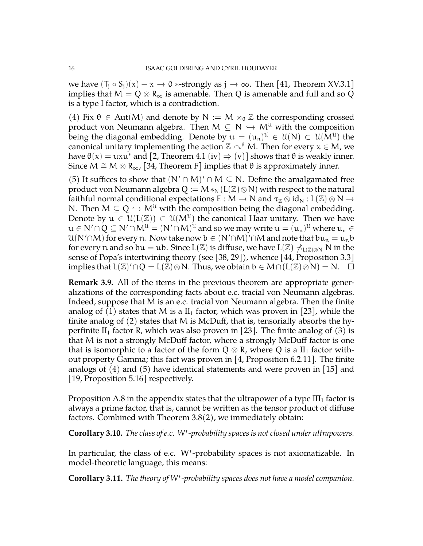we have  $(T_i \circ S_i)(x) - x \rightarrow 0$  \*-strongly as  $j \rightarrow \infty$ . Then [\[41,](#page-36-0) Theorem XV.3.1] implies that  $M = Q \otimes R_{\infty}$  is amenable. Then Q is amenable and full and so Q is a type I factor, which is a contradiction.

(4) Fix  $\theta \in Aut(M)$  and denote by  $N := M \rtimes_{\theta} \mathbb{Z}$  the corresponding crossed product von Neumann algebra. Then  $M \subseteq N \hookrightarrow M^{\mathcal{U}}$  with the composition being the diagonal embedding. Denote by  $\mathfrak{u} = (\mathfrak{u}_n)^{\mathfrak{U}} \in \mathfrak{U}(N) \subset \mathfrak{U}(M^{\mathfrak{U}})$  the canonical unitary implementing the action  $\mathbb{Z} \cap^{\theta} M$ . Then for every  $x \in M$ , we have  $\theta(x) = uxu^*$  and [\[2,](#page-34-13) Theorem 4.1 (iv)  $\Rightarrow$  (v)] shows that  $\theta$  is weakly inner. Since M  $\cong$  M  $\otimes$  R<sub>∞</sub>, [\[34,](#page-35-13) Theorem F] implies that  $\theta$  is approximately inner.

(5) It suffices to show that  $(N' \cap M)' \cap M \subseteq N$ . Define the amalgamated free product von Neumann algebra Q :=  $M*_N(L(\mathbb{Z})\otimes N)$  with respect to the natural faithful normal conditional expectations  $E : M \to N$  and  $\tau_{\mathbb{Z}} \otimes id_N : L(\mathbb{Z}) \otimes N \to$ N. Then  $M \subseteq Q \hookrightarrow M^{\mathfrak{U}}$  with the composition being the diagonal embedding. Denote by  $u \in \mathcal{U}(L(\mathbb{Z})) \subset \mathcal{U}(M^{\mathcal{U}})$  the canonical Haar unitary. Then we have  $\mathfrak{u}\in\mathsf{N}'\cap\mathsf{Q}\subseteq\mathsf{N}'\cap\mathsf{M}^{\mathfrak{U}}=(\mathsf{N}'\cap\mathsf{M})^{\mathfrak{U}}$  and so we may write  $\mathfrak{u}=(\mathfrak{u}_\mathfrak{n})^{\mathfrak{U}}$  where  $\mathfrak{u}_\mathfrak{n}\in\mathsf{M}$  $\mathcal{U}(\mathsf{N}'\cap\mathsf{M})$  for every  $\mathfrak n.$  Now take now  $\mathfrak b\in (\mathsf{N}'\cap\mathsf{M})' \cap \mathsf{M}$  and note that  $\mathfrak b\mathfrak u_\mathfrak n=\mathfrak u_\mathfrak n\mathfrak b$ for every n and so bu = ub. Since L( $\mathbb{Z}$ ) is diffuse, we have L( $\mathbb{Z}$ )  $\preceq_{L(\mathbb{Z})\otimes N} N$  in the sense of Popa's intertwining theory (see [\[38,](#page-35-16) [29\]](#page-35-17)), whence [\[44,](#page-36-2) Proposition 3.3] implies that  $L(\mathbb{Z})' \cap Q = L(\breve{\mathbb{Z}}) \otimes N$ . Thus, we obtain  $b \in M \cap (L(\mathbb{Z}) \otimes N) = N$ .  $\Box$ 

**Remark 3.9.** All of the items in the previous theorem are appropriate generalizations of the corresponding facts about e.c. tracial von Neumann algebras. Indeed, suppose that M is an e.c. tracial von Neumann algebra. Then the finite analog of (1) states that M is a  $II_1$  factor, which was proven in [\[23\]](#page-35-4), while the finite analog of (2) states that M is McDuff, that is, tensorially absorbs the hy-perfinite II<sub>1</sub> factor R, which was also proven in [\[23\]](#page-35-4). The finite analog of (3) is that M is not a strongly McDuff factor, where a strongly McDuff factor is one that is isomorphic to a factor of the form  $Q \otimes R$ , where Q is a  $II_1$  factor without property Gamma; this fact was proven in [\[4,](#page-34-3) Proposition 6.2.11]. The finite analogs of  $(4)$  and  $(5)$  have identical statements and were proven in  $|15|$  and [\[19,](#page-35-5) Proposition 5.16] respectively.

Proposition [A.8](#page-31-0) in the appendix states that the ultrapower of a type  $III<sub>1</sub>$  factor is always a prime factor, that is, cannot be written as the tensor product of diffuse factors. Combined with Theorem [3.8\(](#page-14-0)2), we immediately obtain:

**Corollary 3.10.** *The class of e.c. W*<sup>∗</sup> *-probability spaces is not closed under ultrapowers.*

In particular, the class of e.c. W<sup>∗</sup> -probability spaces is not axiomatizable. In model-theoretic language, this means:

<span id="page-15-0"></span>**Corollary 3.11.** *The theory of W*<sup>∗</sup> *-probability spaces does not have a model companion.*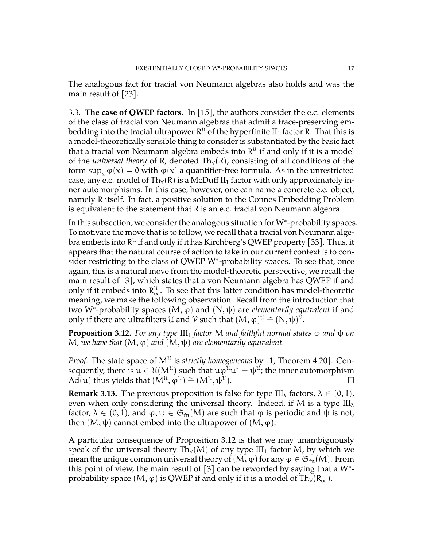The analogous fact for tracial von Neumann algebras also holds and was the main result of [\[23\]](#page-35-4).

<span id="page-16-0"></span>3.3. **The case of QWEP factors.** In [\[15\]](#page-34-5), the authors consider the e.c. elements of the class of tracial von Neumann algebras that admit a trace-preserving embedding into the tracial ultrapower  $\mathsf{R}^\mathfrak{U}$  of the hyperfinite  $\mathrm{II}_1$  factor  $\mathsf{R}.$  That this is a model-theoretically sensible thing to consider is substantiated by the basic fact that a tracial von Neumann algebra embeds into  $R^{\mathfrak{U}}$  if and only if it is a model of the *universal theory* of R, denoted  $Th<sub>∀</sub>(R)$ , consisting of all conditions of the form  $\sup_{x} \varphi(x) = 0$  with  $\varphi(x)$  a quantifier-free formula. As in the unrestricted case, any e.c. model of Th<sub>∀</sub>(R) is a McDuff II<sub>1</sub> factor with only approximately inner automorphisms. In this case, however, one can name a concrete e.c. object, namely R itself. In fact, a positive solution to the Connes Embedding Problem is equivalent to the statement that R is an e.c. tracial von Neumann algebra.

In this subsection, we consider the analogous situation for W<sup>∗</sup> -probability spaces. To motivate the move that is to follow, we recall that a tracial von Neumann algebra embeds into  $\mathsf{R}^{\mathfrak{U}}$  if and only if it has Kirchberg's QWEP property [\[33\]](#page-35-7). Thus, it appears that the natural course of action to take in our current context is to consider restricting to the class of QWEP W<sup>\*</sup>-probability spaces. To see that, once again, this is a natural move from the model-theoretic perspective, we recall the main result of [\[3\]](#page-34-6), which states that a von Neumann algebra has QWEP if and only if it embeds into  $R^{\mathcal{U}}_{\infty}$ . To see that this latter condition has model-theoretic measurements are used to following absorption. Becall from the introduction that meaning, we make the following observation. Recall from the introduction that two W<sup>∗</sup> -probability spaces (M, ϕ) and (N, ψ) are *elementarily equivalent* if and only if there are ultrafilters  $\mathcal U$  and  $\mathcal V$  such that  $(M, \varphi)^{\mathcal U} \cong (N, \psi)^{\mathcal V}$ .

<span id="page-16-1"></span>**Proposition 3.12.** *For any type*  $III_1$  *factor* M *and faithful normal states*  $\varphi$  *and*  $\psi$  *on*  $M$ , we have that  $(M, φ)$  and  $(M, ψ)$  are elementarily equivalent.

Proof. The state space of M<sup>U</sup> is *strictly homogeneous* by [\[1,](#page-34-11) Theorem 4.20]. Consequently, there is  $\mathfrak{u}\in\mathfrak{U}(\mathsf{M}^{\mathfrak{U}})$  such that  $\mathfrak{u}\varphi^{\mathfrak{U}}\mathfrak{u}^*=\psi^{\mathfrak{U}}$ ; the inner automorphism  $\overrightarrow{AA}(u)$  thus yields that  $(\overrightarrow{M}^{\mathcal{U}},\overrightarrow{\phi}^{\mathcal{U}}) \cong (\overrightarrow{M}^{\mathcal{U}},\psi^{\mathcal{U}})$ ).  $\qquad \qquad \Box$ 

**Remark 3.13.** The previous proposition is false for type III<sub> $\lambda$ </sub> factors,  $\lambda \in (0,1)$ , even when only considering the universal theory. Indeed, if M is a type  $III_{\lambda}$ factor,  $\lambda \in (0, 1)$ , and  $\varphi, \psi \in \mathfrak{S}_{fn}(M)$  are such that  $\varphi$  is periodic and  $\psi$  is not, then  $(M, \psi)$  cannot embed into the ultrapower of  $(M, \varphi)$ .

A particular consequence of Proposition [3.12](#page-16-1) is that we may unambiguously speak of the universal theory Th<sub>∀</sub>(M) of any type  $III_1$  factor M, by which we mean the unique common universal theory of  $(M, \varphi)$  for any  $\varphi \in \mathfrak{S}_{\mathrm{fn}}(M)$ . From this point of view, the main result of  $[3]$  can be reworded by saying that a W<sup>\*</sup>probability space  $(M, \varphi)$  is QWEP if and only if it is a model of Th<sub>∀</sub>(R<sub>∞</sub>).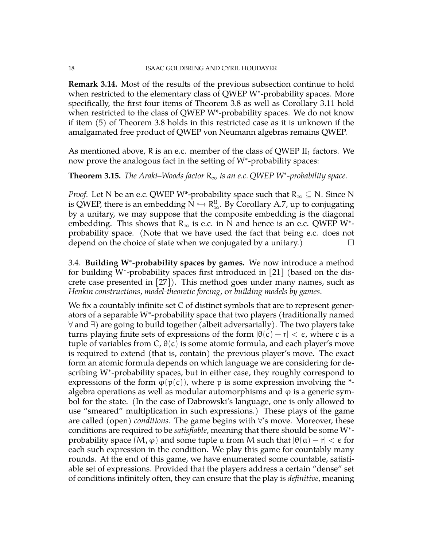**Remark 3.14.** Most of the results of the previous subsection continue to hold when restricted to the elementary class of QWEP W<sup>∗</sup> -probability spaces. More specifically, the first four items of Theorem [3.8](#page-14-0) as well as Corollary [3.11](#page-15-0) hold when restricted to the class of QWEP W\*-probability spaces. We do not know if item (5) of Theorem [3.8](#page-14-0) holds in this restricted case as it is unknown if the amalgamated free product of QWEP von Neumann algebras remains QWEP.

As mentioned above, R is an e.c. member of the class of QWEP  $II_1$  factors. We now prove the analogous fact in the setting of W<sup>∗</sup> -probability spaces:

**Theorem 3.15.** *The Araki–Woods factor*  $R_{\infty}$  *is an e.c.* QWEP W\*-probability space.

*Proof.* Let N be an e.c. QWEP W\*-probability space such that  $R_{\infty} \subseteq N$ . Since N is QWEP, there is an embedding  $N \hookrightarrow R_{\infty}^{\mathcal{U}}$ . By Corollary [A.7,](#page-30-0) up to conjugating here a unitary  $\mathcal{L}$  is a second line in the diagonal by a unitary, we may suppose that the composite embedding is the diagonal embedding. This shows that  $R_{\infty}$  is e.c. in N and hence is an e.c. QWEP W<sup>\*</sup>probability space. (Note that we have used the fact that being e.c. does not depend on the choice of state when we conjugated by a unitary.)  $\Box$ 

<span id="page-17-0"></span>3.4. **Building W**<sup>∗</sup> **-probability spaces by games.** We now introduce a method for building W<sup>\*</sup>-probability spaces first introduced in [\[21\]](#page-35-6) (based on the discrete case presented in [\[27\]](#page-35-18)). This method goes under many names, such as *Henkin constructions*, *model-theoretic forcing*, or *building models by games*.

We fix a countably infinite set C of distinct symbols that are to represent generators of a separable W<sup>∗</sup> -probability space that two players (traditionally named ∀ and ∃) are going to build together (albeit adversarially). The two players take turns playing finite sets of expressions of the form  $|\theta(c) - r| < \epsilon$ , where c is a tuple of variables from  $C$ ,  $\theta(c)$  is some atomic formula, and each player's move is required to extend (that is, contain) the previous player's move. The exact form an atomic formula depends on which language we are considering for describing W<sup>∗</sup> -probability spaces, but in either case, they roughly correspond to expressions of the form  $\varphi(p(c))$ , where p is some expression involving the \*algebra operations as well as modular automorphisms and  $\varphi$  is a generic symbol for the state. (In the case of Dabrowski's language, one is only allowed to use "smeared" multiplication in such expressions.) These plays of the game are called (open) *conditions*. The game begins with ∀'s move. Moreover, these conditions are required to be *satisfiable*, meaning that there should be some W<sup>∗</sup> probability space  $(M, \varphi)$  and some tuple a from M such that  $|\theta(\alpha) - r| < \varepsilon$  for each such expression in the condition. We play this game for countably many rounds. At the end of this game, we have enumerated some countable, satisfiable set of expressions. Provided that the players address a certain "dense" set of conditions infinitely often, they can ensure that the play is *definitive*, meaning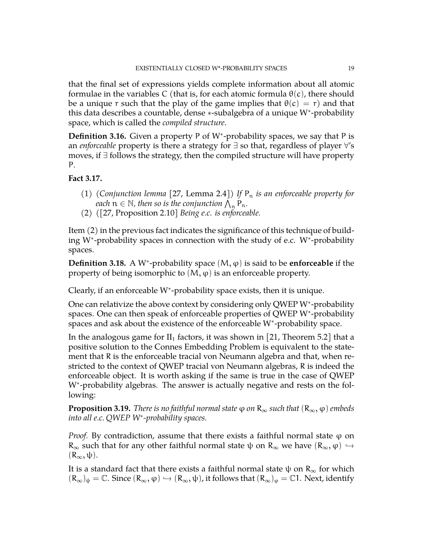that the final set of expressions yields complete information about all atomic formulae in the variables C (that is, for each atomic formula  $\theta(c)$ , there should be a unique r such that the play of the game implies that  $\theta(c) = r$ ) and that this data describes a countable, dense ∗-subalgebra of a unique W<sup>∗</sup> -probability space, which is called the *compiled structure*.

Definition 3.16. Given a property P of W<sup>\*</sup>-probability spaces, we say that P is an *enforceable* property is there a strategy for ∃ so that, regardless of player ∀'s moves, if ∃ follows the strategy, then the compiled structure will have property P.

# **Fact 3.17.**

- (1) *(Conjunction lemma* [\[27,](#page-35-18) Lemma 2.4]) If  $P_n$  *is an enforceable property for each*  $n \in \mathbb{N}$ , then so is the conjunction  $\bigwedge_{n=1}^{\infty} P_n$ .
- (2) *(*[\[27,](#page-35-18) Proposition 2.10] *Being e.c. is enforceable.*

Item (2) in the previous fact indicates the significance of this technique of building W<sup>∗</sup> -probability spaces in connection with the study of e.c. W<sup>∗</sup> -probability spaces.

**Definition 3.18.** A W<sup>∗</sup> -probability space (M, ϕ) is said to be **enforceable** if the property of being isomorphic to  $(M, \varphi)$  is an enforceable property.

Clearly, if an enforceable W<sup>∗</sup> -probability space exists, then it is unique.

One can relativize the above context by considering only QWEP W<sup>∗</sup> -probability spaces. One can then speak of enforceable properties of QWEP W<sup>∗</sup> -probability spaces and ask about the existence of the enforceable W<sup>∗</sup> -probability space.

In the analogous game for  $II_1$  factors, it was shown in [\[21,](#page-35-6) Theorem 5.2] that a positive solution to the Connes Embedding Problem is equivalent to the statement that R is the enforceable tracial von Neumann algebra and that, when restricted to the context of QWEP tracial von Neumann algebras, R is indeed the enforceable object. It is worth asking if the same is true in the case of QWEP W<sup>\*</sup>-probability algebras. The answer is actually negative and rests on the following:

**Proposition 3.19.** *There is no faithful normal state*  $\varphi$  *on*  $R_{\infty}$  *such that*  $(R_{\infty}, \varphi)$  *embeds into all e.c. QWEP W*<sup>∗</sup> *-probability spaces.*

*Proof.* By contradiction, assume that there exists a faithful normal state  $\varphi$  on  $R_{\infty}$  such that for any other faithful normal state  $\psi$  on  $R_{\infty}$  we have  $(R_{\infty}, \varphi) \hookrightarrow$  $(R_{\infty}, \psi)$ .

It is a standard fact that there exists a faithful normal state  $\psi$  on  $R_{\infty}$  for which  $(R_{\infty})_{\psi} = \mathbb{C}$ . Since  $(R_{\infty}, \varphi) \hookrightarrow (R_{\infty}, \psi)$ , it follows that  $(R_{\infty})_{\varphi} = \mathbb{C}1$ . Next, identify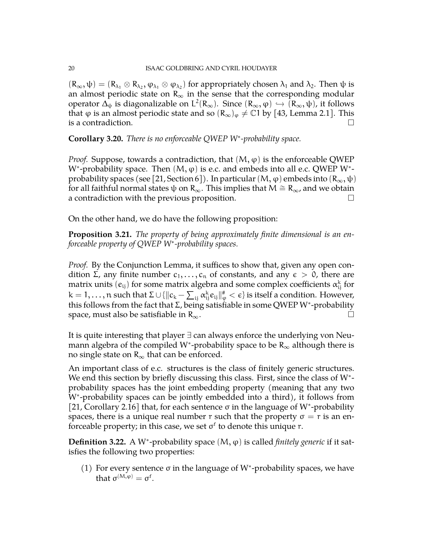$(R_{\infty}, \psi) = (R_{\lambda_1} \otimes R_{\lambda_2}, \varphi_{\lambda_1} \otimes \varphi_{\lambda_2})$  for appropriately chosen  $\lambda_1$  and  $\lambda_2$ . Then  $\psi$  is an almost periodic state on  $R_{\infty}$  in the sense that the corresponding modular operator  $\Delta_{\psi}$  is diagonalizable on  $L^2(R_{\infty})$ . Since  $(R_{\infty}, \varphi) \hookrightarrow (R_{\infty}, \psi)$ , it follows that *φ* is an almost periodic state and so  $(R<sub>∞</sub>)<sub>φ</sub> ≠ C1$  by [\[43,](#page-36-3) Lemma 2.1]. This is a contradiction. is a contradiction.

**Corollary 3.20.** *There is no enforceable QWEP W*<sup>∗</sup> *-probability space.*

*Proof.* Suppose, towards a contradiction, that  $(M, \varphi)$  is the enforceable QWEP W\*-probability space. Then  $(M, \varphi)$  is e.c. and embeds into all e.c. QWEP W\*-probability spaces (see [\[21,](#page-35-6) Section 6]). In particular (M,  $\varphi$ ) embeds into ( $\mathsf{R}_{\infty}, \psi$ ) for all faithful normal states ψ on R<sub>∞</sub>. This implies that  $M \cong R_{\infty}$ , and we obtain a contradiction with the previous proposition. a contradiction with the previous proposition.

On the other hand, we do have the following proposition:

<span id="page-19-0"></span>**Proposition 3.21.** *The property of being approximately finite dimensional is an enforceable property of QWEP W*<sup>∗</sup> *-probability spaces.*

*Proof.* By the Conjunction Lemma, it suffices to show that, given any open condition Σ, any finite number  $c_1, \ldots, c_n$  of constants, and any  $\epsilon > 0$ , there are matrix units  $(e_{ij})$  for some matrix algebra and some complex coefficients  $\alpha^{\rm k}_{ij}$  for  $k=1,\ldots,n$  such that  $\Sigma\cup\{\|c_k-\sum_{ij}\alpha_{ij}^ke_{ij}\|_\varphi^{\#}<\epsilon\}$  is itself a condition. However, this follows from the fact that Σ, being satisfiable in some QWEP W\*-probability space, must also be satisfiable in R<sub>∞</sub>.

It is quite interesting that player ∃ can always enforce the underlying von Neumann algebra of the compiled W<sup>\*</sup>-probability space to be  $R_{\infty}$  although there is no single state on  $R_{\infty}$  that can be enforced.

An important class of e.c. structures is the class of finitely generic structures. We end this section by briefly discussing this class. First, since the class of W<sup>\*</sup>probability spaces has the joint embedding property (meaning that any two W<sup>∗</sup> -probability spaces can be jointly embedded into a third), it follows from [\[21,](#page-35-6) Corollary 2.16] that, for each sentence σ in the language of W\*-probability spaces, there is a unique real number r such that the property  $\sigma = r$  is an enforceable property; in this case, we set  $\sigma^{\mathrm{f}}$  to denote this unique  $r$ .

**Definition 3.22.** A W<sup>∗</sup> -probability space (M, ϕ) is called *finitely generic* if it satisfies the following two properties:

(1) For every sentence σ in the language of W<sup>∗</sup> -probability spaces, we have that  $\sigma^{(M,\varphi)} = \sigma^f$ .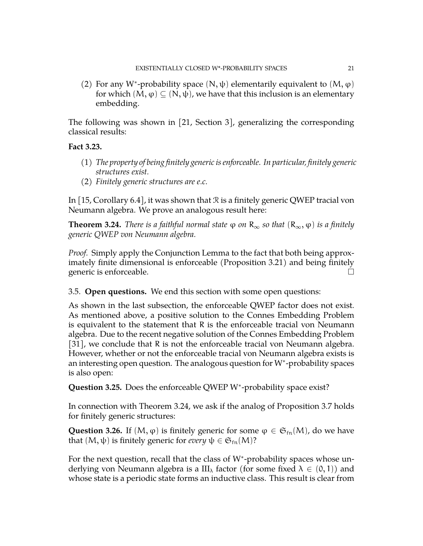(2) For any W<sup>\*</sup>-probability space  $(N, ψ)$  elementarily equivalent to  $(M, φ)$ for which  $(M, \varphi) \subseteq (N, \psi)$ , we have that this inclusion is an elementary embedding.

The following was shown in [\[21,](#page-35-6) Section 3], generalizing the corresponding classical results:

## **Fact 3.23.**

- (1) *The property of being finitely generic is enforceable. In particular, finitely generic structures exist.*
- (2) *Finitely generic structures are e.c.*

In [\[15,](#page-34-5) Corollary 6.4], it was shown that  $\Re$  is a finitely generic QWEP tracial von Neumann algebra. We prove an analogous result here:

<span id="page-20-1"></span>**Theorem 3.24.** *There is a faithful normal state*  $\varphi$  *on*  $R_{\infty}$  *so that*  $(R_{\infty}, \varphi)$  *is a finitely generic QWEP von Neumann algebra.*

*Proof.* Simply apply the Conjunction Lemma to the fact that both being approximately finite dimensional is enforceable (Proposition [3.21\)](#page-19-0) and being finitely generic is enforceable.

<span id="page-20-0"></span>3.5. **Open questions.** We end this section with some open questions:

As shown in the last subsection, the enforceable QWEP factor does not exist. As mentioned above, a positive solution to the Connes Embedding Problem is equivalent to the statement that R is the enforceable tracial von Neumann algebra. Due to the recent negative solution of the Connes Embedding Problem [\[31\]](#page-35-19), we conclude that R is not the enforceable tracial von Neumann algebra. However, whether or not the enforceable tracial von Neumann algebra exists is an interesting open question. The analogous question for W<sup>∗</sup> -probability spaces is also open:

Question 3.25. Does the enforceable QWEP W<sup>\*</sup>-probability space exist?

In connection with Theorem [3.24,](#page-20-1) we ask if the analog of Proposition [3.7](#page-13-2) holds for finitely generic structures:

**Question 3.26.** If  $(M, \varphi)$  is finitely generic for some  $\varphi \in \mathfrak{S}_{fn}(M)$ , do we have that  $(M, \psi)$  is finitely generic for *every*  $\psi \in \mathfrak{S}_{fn}(M)$ ?

For the next question, recall that the class of W<sup>∗</sup> -probability spaces whose underlying von Neumann algebra is a  $III_{\lambda}$  factor (for some fixed  $\lambda \in (0,1)$ ) and whose state is a periodic state forms an inductive class. This result is clear from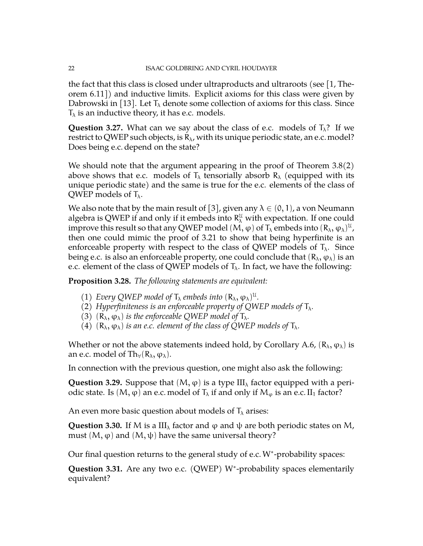the fact that this class is closed under ultraproducts and ultraroots (see [\[1,](#page-34-11) Theorem 6.11]) and inductive limits. Explicit axioms for this class were given by Dabrowski in [\[13\]](#page-34-4). Let  $T_{\lambda}$  denote some collection of axioms for this class. Since  $T_{\lambda}$  is an inductive theory, it has e.c. models.

**Question 3.27.** What can we say about the class of e.c. models of  $T_\lambda$ ? If we restrict to QWEP such objects, is  $R_{\lambda}$ , with its unique periodic state, an e.c. model? Does being e.c. depend on the state?

We should note that the argument appearing in the proof of Theorem [3.8\(](#page-14-0)2) above shows that e.c. models of  $T_{\lambda}$  tensorially absorb  $R_{\lambda}$  (equipped with its unique periodic state) and the same is true for the e.c. elements of the class of QWEP models of  $T_{\lambda}$ .

We also note that by the main result of [\[3\]](#page-34-6), given any  $\lambda \in (0, 1)$ , a von Neumann algebra is QWEP if and only if it embeds into  $R_\lambda^{\mathfrak{U}}$  with expectation. If one could improve this result so that any QWEP model  $(\mathsf{M},\phi)$  of  $\mathsf{T}_\lambda$  embeds into  $(\mathsf{R}_\lambda,\phi_\lambda)^\mathfrak{U}$  , then one could mimic the proof of [3.21](#page-19-0) to show that being hyperfinite is an enforceable property with respect to the class of QWEP models of  $T_{\lambda}$ . Since being e.c. is also an enforceable property, one could conclude that  $(R_\lambda, \varphi_\lambda)$  is an e.c. element of the class of QWEP models of  $T_{\lambda}$ . In fact, we have the following:

**Proposition 3.28.** *The following statements are equivalent:*

- (1) *Every QWEP model of*  $T_{\lambda}$  *embeds into*  $(R_{\lambda}, \varphi_{\lambda})^{\mathfrak{U}}$ *.*
- (2) *Hyperfiniteness is an enforceable property of QWEP models of*  $T_{\lambda}$ *.*
- (3)  $(R_{\lambda}, \varphi_{\lambda})$  *is the enforceable QWEP model of*  $T_{\lambda}$ *.*
- (4)  $(R_{\lambda}, \varphi_{\lambda})$  *is an e.c. element of the class of QWEP models of*  $T_{\lambda}$ *.*

Whether or not the above statements indeed hold, by Corollary [A.6,](#page-30-1)  $(R_{\lambda}, \varphi_{\lambda})$  is an e.c. model of Th $\forall$ (R<sub> $\lambda$ </sub>,  $\varphi_{\lambda}$ ).

In connection with the previous question, one might also ask the following:

**Question 3.29.** Suppose that  $(M, \varphi)$  is a type  $III_{\lambda}$  factor equipped with a periodic state. Is  $(M, \varphi)$  an e.c. model of  $T_{\lambda}$  if and only if  $M_{\varphi}$  is an e.c. II<sub>1</sub> factor?

An even more basic question about models of  $T_{\lambda}$  arises:

**Question 3.30.** If M is a III<sub> $<sub>\lambda</sub>$  factor and  $\phi$  and  $\psi$  are both periodic states on M,</sub></sub> must  $(M, \varphi)$  and  $(M, \psi)$  have the same universal theory?

Our final question returns to the general study of e.c.W<sup>∗</sup> -probability spaces:

Question 3.31. Are any two e.c. (QWEP) W<sup>\*</sup>-probability spaces elementarily equivalent?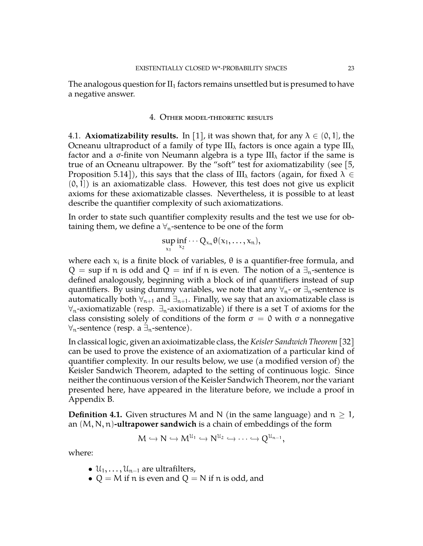The analogous question for  $II_1$  factors remains unsettled but is presumed to have a negative answer.

### 4. Other model-theoretic results

<span id="page-22-1"></span><span id="page-22-0"></span>4.1. **Axiomatizability results.** In [\[1\]](#page-34-11), it was shown that, for any  $\lambda \in (0, 1]$ , the Ocneanu ultraproduct of a family of type  $III_{\lambda}$  factors is once again a type  $III_{\lambda}$ factor and a  $\sigma$ -finite von Neumann algebra is a type III<sub> $\lambda$ </sub> factor if the same is true of an Ocneanu ultrapower. By the "soft" test for axiomatizability (see [\[5,](#page-34-14) Proposition 5.14]), this says that the class of III<sub> $\lambda$ </sub> factors (again, for fixed  $\lambda \in$  $(0, 1)$  is an axiomatizable class. However, this test does not give us explicit axioms for these axiomatizable classes. Nevertheless, it is possible to at least describe the quantifier complexity of such axiomatizations.

In order to state such quantifier complexity results and the test we use for obtaining them, we define a  $\forall$ <sub>n</sub>-sentence to be one of the form

$$
\sup_{x_1}\inf_{x_2}\cdots Q_{x_n}\theta(x_1,\ldots,x_n),
$$

where each  $x_i$  is a finite block of variables,  $\theta$  is a quantifier-free formula, and Q = sup if n is odd and Q = inf if n is even. The notion of a  $\exists_{n}$ -sentence is defined analogously, beginning with a block of inf quantifiers instead of sup quantifiers. By using dummy variables, we note that any  $\forall_{n}$ - or  $\exists_{n}$ -sentence is automatically both  $\forall$ <sub>n+1</sub> and  $\exists$ <sub>n+1</sub>. Finally, we say that an axiomatizable class is  $\forall_{n}$ -axiomatizable (resp.  $\exists_{n}$ -axiomatizable) if there is a set T of axioms for the class consisting solely of conditions of the form  $\sigma = 0$  with  $\sigma$  a nonnegative  $\forall_{n}$ -sentence (resp. a  $\exists_{n}$ -sentence).

In classical logic, given an axioimatizable class, the *Keisler Sandwich Theorem* [\[32\]](#page-35-20) can be used to prove the existence of an axiomatization of a particular kind of quantifier complexity. In our results below, we use (a modified version of) the Keisler Sandwich Theorem, adapted to the setting of continuous logic. Since neither the continuous version of the Keisler Sandwich Theorem, nor the variant presented here, have appeared in the literature before, we include a proof in Appendix B.

**Definition 4.1.** Given structures M and N (in the same language) and  $n \geq 1$ , an (M, N, n)**-ultrapower sandwich** is a chain of embeddings of the form

$$
M \hookrightarrow N \hookrightarrow M^{u_1} \hookrightarrow N^{u_2} \hookrightarrow \cdots \hookrightarrow Q^{u_{n-1}},
$$

where:

- $\mathcal{U}_1, \ldots, \mathcal{U}_{n-1}$  are ultrafilters,
- $Q = M$  if n is even and  $Q = N$  if n is odd, and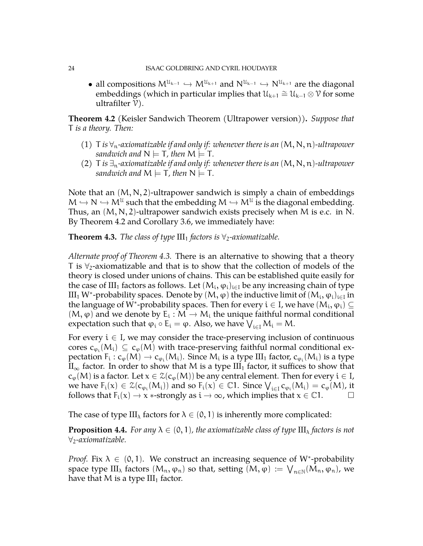• all compositions  $M^{u_{k-1}} \hookrightarrow M^{u_{k+1}}$  and  $N^{u_{k-1}} \hookrightarrow N^{u_{k+1}}$  are the diagonal<br>compositions (which in porticular implies that  $\mathcal{U} \cong \mathcal{U} \otimes \mathcal{U}$  for some embeddings (which in particular implies that  $\mathcal{U}_{k+1} \cong \mathcal{U}_{k-1} \otimes \mathcal{V}$  for some ultrafilter  $\nu$ ).

<span id="page-23-0"></span>**Theorem 4.2** (Keisler Sandwich Theorem (Ultrapower version))**.** *Suppose that* T *is a theory. Then:*

- (1) T *is* ∀n*-axiomatizable if and only if: whenever there is an* (M, N, n)*-ultrapower sandwich and*  $N \models T$ *, then*  $M \models T$ *.*
- (2) T *is*  $\exists$ <sub>n</sub>-axiomatizable if and only if: whenever there is an  $(M, N, n)$ -ultrapower *sandwich and*  $M \models T$ *, then*  $N \models T$ *.*

Note that an  $(M, N, 2)$ -ultrapower sandwich is simply a chain of embeddings  $M \hookrightarrow N \hookrightarrow M^{\mathcal{U}}$  such that the embedding  $M \hookrightarrow M^{\mathcal{U}}$  is the diagonal embedding.<br>Thus, an  $(M, N, 3)$  where away are dwisk awaked we we have  $M$  is a so in N Thus, an  $(M, N, 2)$ -ultrapower sandwich exists precisely when M is e.c. in N. By Theorem [4.2](#page-23-0) and Corollary [3.6,](#page-13-1) we immediately have:

<span id="page-23-1"></span>**Theorem 4.3.** *The class of type*  $III_1$  *factors is*  $\forall_2$ *-axiomatizable.* 

*Alternate proof of Theorem [4.3.](#page-23-1)* There is an alternative to showing that a theory T is  $\forall$ <sub>2</sub>-axiomatizable and that is to show that the collection of models of the theory is closed under unions of chains. This can be established quite easily for the case of III<sub>1</sub> factors as follows. Let  $(M_{\rm i},\phi_{\rm i})_{\rm i\in I}$  be any increasing chain of type III<sub>1</sub> W\*-probability spaces. Denote by (Μ, φ) the inductive limit of  $(M_\text{i}, \phi_\text{i})_{\text{i} \in \text{I}}$  in the language of W\*-probability spaces. Then for every  $\mathfrak{i}\in \mathrm{I}$ , we have  $(\mathsf{M}_{\mathfrak{i}},\varphi_\mathfrak{i})\subseteq \mathfrak{j}$  $(M, \varphi)$  and we denote by  $E_i : M \to M_i$  the unique faithful normal conditional<br>sympathtian such that  $\varphi_i : \Gamma$  and  $\Lambda$  also such assay  $M$  and  $M$ expectation such that  $\varphi_i \circ E_i = \varphi$ . Also, we have  $\bigvee_{i \in I} M_i = M$ .

For every  $i \in I$ , we may consider the trace-preserving inclusion of continuous cores  $c_{\varphi_i}(M_i) \subseteq c_{\varphi}(M)$  with trace-preserving faithful normal conditional expectation  $F_i : c_{\varphi_i}(M) \to c_{\varphi_i}(M_i)$ . Since  $M_i$  is a type  $III_1$  factor,  $c_{\varphi_i}(M_i)$  is a type  $II_1$  factor,  $f_{\varphi_i}(M_i)$  is a type  $II_{\infty}$  factor. In order to show that M is a type  $III_1$  factor, it suffices to show that  $c_{\varphi}(M)$  is a factor. Let  $x \in \mathfrak{Z}(c_{\varphi}(M))$  be any central element. Then for every  $i \in I$ , we have  $F_i(x) \in \mathcal{Z}(c_{\varphi_i}(M_i))$  and so  $F_i(x) \in \mathbb{C}$ 1. Since  $\bigvee_{i \in I} c_{\varphi_i}(M_i) = c_{\varphi}(M)$ , it follows that  $F_i(x) \to x$  ∗-strongly as  $i \to \infty$ , which implies that  $x \in \mathbb{C}1$ .  $\Box$ 

The case of type III<sub> $\lambda$ </sub> factors for  $\lambda \in (0,1)$  is inherently more complicated:

**Proposition 4.4.** *For any*  $\lambda \in (0,1)$ *, the axiomatizable class of type*  $\text{III}_{\lambda}$  *factors is not* ∀2*-axiomatizable.*

*Proof.* Fix  $\lambda \in (0,1)$ . We construct an increasing sequence of W<sup>\*</sup>-probability space type  $III_\lambda$  factors  $(M_n,\phi_n)$  so that, setting  $(M,\phi) := \bigvee_{n\in \mathbb{N}} (M_n,\phi_n)$ , we have that M is a type  $III_1$  factor.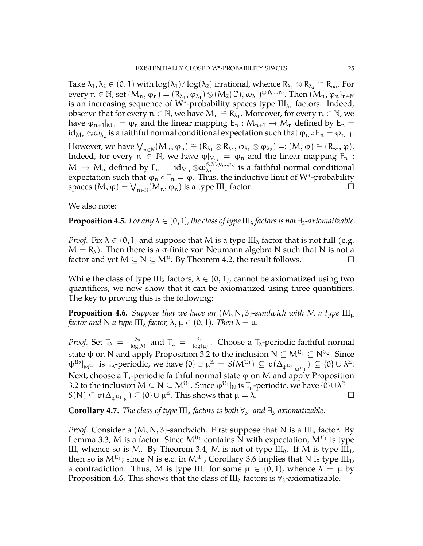Take  $\lambda_1, \lambda_2 \in (0, 1)$  with  $\log(\lambda_1)/\log(\lambda_2)$  irrational, whence  $R_{\lambda_1} \otimes R_{\lambda_2} \cong R_{\infty}$ . For every  $n \in \mathbb{N}$ , set  $(M_n, \varphi_n) = (R_{\lambda_1}, \varphi_{\lambda_1}) \otimes (M_2(\mathbb{C}), \omega_{\lambda_2})^{\otimes [0, ..., n]}$ . Then  $(M_n, \varphi_n)_{n \in \mathbb{N}}$ is an increasing sequence of W<sup>\*</sup>-probability spaces type  $\text{III}_{\lambda_1}$  factors. Indeed, observe that for every  $n \in \mathbb{N}$ , we have  $M_n \cong R_{\lambda_1}$ . Moreover, for every  $n \in \mathbb{N}$ , we have  $\varphi_{n+1}|_{M_n} = \varphi_n$  and the linear mapping  $E_n : M_{n+1} \to M_n$  defined by  $E_n =$ id $_{\mathcal{M}_n}\otimes\omega_{\lambda_2}$  is a faithful normal conditional expectation such that  $\phi_n\circ \mathsf{E}_n=\phi_{n+1}.$ 

However, we have  $\bigvee_{n \in \mathbb{N}} (M_n, \varphi_n) \cong (R_{\lambda_1} \otimes R_{\lambda_2}, \varphi_{\lambda_1} \otimes \varphi_{\lambda_2}) =: (M, \varphi) \cong (R_{\infty}, \varphi)$ . Indeed, for every  $n \in \mathbb{N}$ , we have  $\varphi|_{M_n} = \varphi_n$  and the linear mapping  $F_n$ :  $M \to M_n$  defined by  $F_n = id_{M_n} \otimes \omega_{\lambda_2}^{\otimes N \setminus \{0,\dots,n\}}$  $\lambda_2$  is a faithful normal conditional expectation such that  $\varphi_n \circ F_n = \varphi$ . Thus, the inductive limit of W\*-probability spaces  $(M, \varphi) = \bigvee_{n \in \mathbb{N}} (M_n, \varphi_n)$  is a type III<sub>1</sub> factor.

We also note:

**Proposition 4.5.** *For any*  $\lambda \in (0, 1]$ *, the class of type*  $\text{III}_{\lambda}$  *factors is not*  $\exists_2$ *-axiomatizable.* 

*Proof.* Fix  $\lambda \in (0, 1]$  and suppose that M is a type  $III_{\lambda}$  factor that is not full (e.g.  $M = R_{\lambda}$ ). Then there is a σ-finite von Neumann algebra N such that N is not a factor and yet  $M \subseteq N \subseteq M^{\mathcal{U}}$ . By Theorem [4.2,](#page-23-0) the result follows.

While the class of type  $III_{\lambda}$  factors,  $\lambda \in (0,1)$ , cannot be axiomatized using two quantifiers, we now show that it can be axiomatized using three quantifiers. The key to proving this is the following:

<span id="page-24-0"></span>**Proposition 4.6.** *Suppose that we have an*  $(M, N, 3)$ *-sandwich with* M *a type*  $III_{\mu}$ *factor and* N *a type*  $\text{III}_{\lambda}$  *factor,*  $\lambda$ ,  $\mu \in (0, 1)$ *. Then*  $\lambda = \mu$ *.* 

*Proof.* Set  $T_{\lambda} = \frac{2\pi}{\log n}$  $\frac{2\pi}{|\log(\lambda)|}$  and  $T_{\mu} = \frac{2\pi}{|\log(\lambda)|}$  $\frac{2\pi}{|\log(u)|}$ . Choose a T<sub>^</sub>-periodic faithful normal state  $\psi$  on N and apply Proposition [3.2](#page-10-2) to the inclusion N  $\subseteq$   $\mathsf{M}^{\mathfrak{U}_1}\subseteq\mathsf{N}^{\mathfrak{U}_2}.$  Since  $\Psi^{\mathfrak{U}_2}|_{\mathsf{M}^{\mathfrak{U}_1}}$  is  $T_\lambda$ -periodic, we have  $\{0\} \cup \mu^\mathbb{Z} = S(M^{\mathfrak{U}_1}) \subseteq \sigma(\Delta_{\psi^{\mathfrak{U}_2}|_{\mathsf{M}^{\mathfrak{U}_1}}}) \subseteq \{0\} \cup \lambda^\mathbb{Z}$ . Next, choose a  $T_{\mu}$ -periodic faithful normal state  $\varphi$  on M and apply Proposition [3.2](#page-10-2) to the inclusion  $M \subseteq N \subseteq M^{\mathcal{U}_1}$ . Since  $\phi^{\mathcal{U}_1}|_N$  is  $T_\mu$ -periodic, we have  $\{0\} \cup \lambda^\mathbb{Z} =$  $S(N) \subseteq \sigma(\Delta_{\varphi^{u_1}|_N}) \subseteq \{0\} \cup \mu^{\mathbb{Z}}$ . This shows that  $\mu = \lambda$ .

**Corollary 4.7.** *The class of type*  $\text{III}_{\lambda}$  *factors is both*  $\forall_3$ - *and*  $\exists_3$ -*axiomatizable.* 

*Proof.* Consider a  $(M, N, 3)$ -sandwich. First suppose that N is a III<sub> $<sub>\lambda</sub>$ </sub> factor. By</sub> Lemma [3.3,](#page-11-0) M is a factor. Since  $M^{U_1}$  contains N with expectation,  $M^{U_1}$  is type III, whence so is M. By Theorem [3.4,](#page-11-1) M is not of type  $III_0$ . If M is type  $III_1$ , then so is  $M^{u_1}$ ; since N is e.c. in  $M^{u_1}$ , Corollary [3.6](#page-13-1) implies that N is type III<sub>1</sub>, a contradiction. Thus, M is type  $III_{\mu}$  for some  $\mu \in (0,1)$ , whence  $\lambda = \mu$  by Proposition [4.6.](#page-24-0) This shows that the class of  $III_\lambda$  factors is  $\forall_3$ -axiomatizable.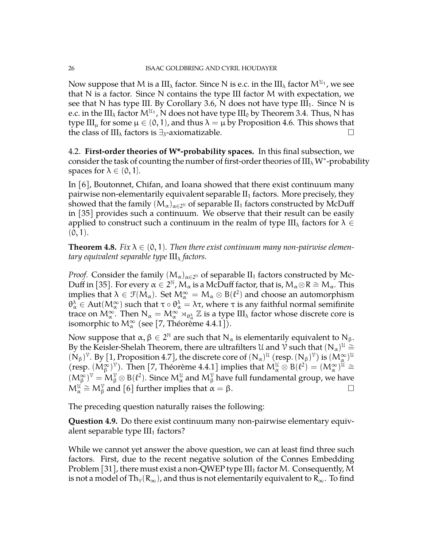Now suppose that M is a  $\rm{III}_{\lambda}$  factor. Since N is e.c. in the  $\rm{III}_{\lambda}$  factor  $\rm{M^{U_1}}$ , we see that N is a factor. Since N contains the type III factor M with expectation, we see that N has type III. By Corollary [3.6,](#page-13-1) N does not have type  $III<sub>1</sub>$ . Since N is e.c. in the III $_{\lambda}$  factor  $\mathsf{M}^{\mathfrak{U}_{1}}$  , N does not have type III $_{0}$  by Theorem [3.4.](#page-11-1) Thus, N has type III<sub>µ</sub> for some  $\mu \in (0, 1)$ , and thus  $\lambda = \mu$  by Proposition [4.6.](#page-24-0) This shows that the class of III<sub>λ</sub> factors is ∃<sub>3</sub>-axiomatizable.  $□$ 

<span id="page-25-0"></span>4.2. **First-order theories of W\*-probability spaces.** In this final subsection, we consider the task of counting the number of first-order theories of  $III<sub>\lambda</sub>$  W $^*$ -probability spaces for  $\lambda \in (0, 1]$ .

In [\[6\]](#page-34-7), Boutonnet, Chifan, and Ioana showed that there exist continuum many pairwise non-elementarily equivalent separable  $II_1$  factors. More precisely, they showed that the family  $(\mathsf{M}_{\alpha})_{\alpha \in 2^{\mathbb{N}}}$  of separable  $\mathrm{II}_1$  factors constructed by McDuff in [\[35\]](#page-35-8) provides such a continuum. We observe that their result can be easily applied to construct such a continuum in the realm of type III<sub> $\lambda$ </sub> factors for  $\lambda \in$  $(0, 1)$ .

**Theorem 4.8.** *Fix*  $\lambda \in (0,1)$ *. Then there exist continuum many non-pairwise elementary equivalent separable type* III<sup>λ</sup> *factors.*

*Proof.* Consider the family  $(M_\alpha)_{\alpha \in 2^{\mathbb{N}}}$  of separable II<sub>1</sub> factors constructed by Mc-Duff in [\[35\]](#page-35-8). For every  $\alpha \in 2^{\mathbb{N}}$ ,  $M_{\alpha}$  is a McDuff factor, that is,  $M_{\alpha} \otimes R \cong M_{\alpha}$ . This implies that  $\lambda \in \mathcal{F}(M_\alpha)$ . Set  $M^\infty_\alpha = M_\alpha \otimes B(l^2)$  and choose an automorphism  $\theta^λ_α \in Aut(M^\infty_α)$  such that  $τ ∘ θ^\lambda_α = λτ$ , where  $τ$  is any faithful normal semifinite trace on  $M_{\alpha}^{\infty}$ . Then  $N_{\alpha} = M_{\alpha}^{\infty} \rtimes_{\theta_{\alpha}^{\lambda}} \mathbb{Z}$  is a type III<sub> $\lambda$ </sub> factor whose discrete core is isomorphic to  $\mathsf{M}_\alpha^\infty$  (see [\[7,](#page-34-8) Théorème 4.4.1]).

Now suppose that  $\alpha, \beta \in 2^{\mathbb{N}}$  are such that N<sub>α</sub> is elementarily equivalent to N<sub>β</sub>. By the Keisler-Shelah Theorem, there are ultrafilters U and  $\check{V}$  such that  $(N_\alpha)^{\mathfrak{U}} \cong$  $(N_\beta)^\nu$ . By [\[1,](#page-34-11) Proposition 4.7], the discrete core of  $(N_\alpha)^\mu$  (resp.  $(N_\beta)^\nu$ ) is  $(M_\alpha^\infty)^\mu$ (resp.  $(M_\beta^\infty)^\nu$ ). Then [\[7,](#page-34-8) Théorème 4.4.1] implies that  $M_\alpha^{\mu} \otimes B(\ell^2) = (M_\alpha^\infty)^\mu \cong$  $(M_\beta^\infty)^\gamma = M_\beta^\gamma \otimes B(\ell^2)$ . Since  $M_\alpha^\mu$  and  $M_\beta^\gamma$  have full fundamental group, we have  $M_{\alpha}^{\mathfrak{U}} \cong M_{\beta}^{\gamma}$  and [\[6\]](#page-34-7) further implies that  $\alpha = \beta$ .

The preceding question naturally raises the following:

**Question 4.9.** Do there exist continuum many non-pairwise elementary equivalent separable type  $III_1$  factors?

While we cannot yet answer the above question, we can at least find three such factors. First, due to the recent negative solution of the Connes Embedding Problem [\[31\]](#page-35-19), there must exist a non-QWEP type  $III_1$  factor M. Consequently, M is not a model of Th<sub>∀</sub>(R<sub>∞</sub>), and thus is not elementarily equivalent to R<sub>∞</sub>. To find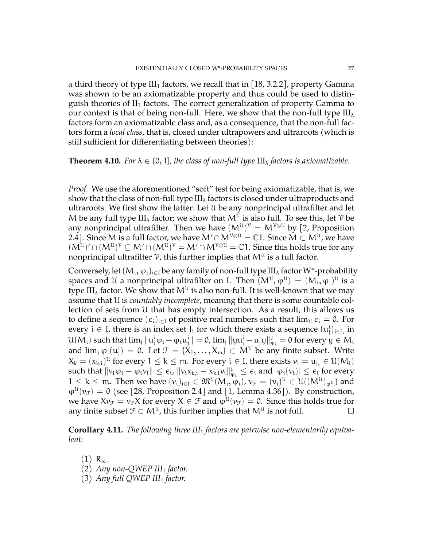a third theory of type  $III_1$  factors, we recall that in [\[18,](#page-35-0) 3.2.2], property Gamma was shown to be an axiomatizable property and thus could be used to distinguish theories of  $II_1$  factors. The correct generalization of property Gamma to our context is that of being non-full. Here, we show that the non-full type  $III_{\lambda}$ factors form an axiomatizable class and, as a consequence, that the non-full factors form a *local class*, that is, closed under ultrapowers and ultraroots (which is still sufficient for differentiating between theories):

#### **Theorem 4.10.** *For*  $\lambda \in (0, 1]$ *, the class of non-full type*  $\text{III}_{\lambda}$  *factors is axiomatizable.*

*Proof.* We use the aforementioned "soft" test for being axiomatizable, that is, we show that the class of non-full type  $III_{\lambda}$  factors is closed under ultraproducts and ultraroots. We first show the latter. Let U be any nonprincipal ultrafilter and let M be any full type  $III_{\lambda}$  factor; we show that  $M^{\mathcal{U}}$  is also full. To see this, let  $\mathcal V$  be any nonprincipal ultrafilter. Then we have  $(M^{U})^{\gamma} = M^{\gamma \otimes U}$  by [\[2,](#page-34-13) Proposition 2.4]. Since M is a full factor, we have  $M' \cap M^{\mathcal{V} \otimes \mathfrak{U}} = \mathbb{C}$ 1. Since  $\check{M} \subset M^{\mathfrak{U}}$ , we have  $(M^{\mathcal{U}})' \cap (M^{\mathcal{U}})^{\mathcal{V}} \subseteq M' \cap (M^{\mathcal{U}})^{\mathcal{V}} = M' \cap M^{\mathcal{V} \otimes \mathcal{U}} = \mathbb{C}1$ . Since this holds true for any nonprincipal ultrafilter  $\mathcal V$ , this further implies that  $\mathsf{M}^{\mathfrak{U}}$  is a full factor.

Conversely, let  $(M_i, \varphi_i)_{i \in I}$  be any family of non-full type III<sub> $\lambda$ </sub> factor W $^*$ -probability spaces and U a nonprincipal ultrafilter on I. Then  $(M^{\mathfrak{U}},\varphi^{\mathfrak{U}})=(M_{\mathfrak{i}},\varphi_{\mathfrak{i}})^{\mathfrak{U}}$  is a type III<sub> $lambda$ </sub> factor. We show that M $^{\mathfrak{U}}$  is also non-full. It is well-known that we may assume that U is *countably incomplete*, meaning that there is some countable collection of sets from U that has empty intersection. As a result, this allows us to define a sequence  $(\epsilon_i)_{i\in I}$  of positive real numbers such that  $\lim_{\mathcal{U}} \epsilon_i = 0$ . For every  $i \in I$ , there is an index set  $J_i$  for which there exists a sequence  $(u_j^i)_{j \in J_i}$  in  $\mathcal{U}(\mathcal{M}_\mathfrak{i})$  such that  $\lim_j \|u_j^\mathfrak{i}\phi_\mathfrak{i} - \phi_\mathfrak{i}u_j^\mathfrak{i}\| = \mathsf{0}$ ,  $\lim_j \|yu_j^\mathfrak{i}-u_j^\mathfrak{i}y\|_{\phi_\mathfrak{i}}^\sharp = \mathsf{0}$  for every  $y\in \mathcal{M}_\mathfrak{i}$ and  $\lim_{j} \varphi_i(u_j^i) = 0$ . Let  $\mathcal{F} = \{X_1, \ldots, X_m\} \subset M^{\mathcal{U}}$  be any finite subset. Write  $X_k = (x_{k,i})^{\mathfrak{U}}$  for every  $1 \leq k \leq m$ . For every  $i \in I$ , there exists  $v_i = u_{j_i} \in \mathcal{U}(M_i)$ such that  $\|v_i\phi_i - \phi_i v_i\| \leq \epsilon_i$ ,  $\|v_i x_{k,i} - x_{k,i} v_i\|_{\phi_i}^{\sharp} \leq \epsilon_i$  and  $|\phi_i(v_i)| \leq \epsilon_i$  for every  $1 \leq k \leq m$ . Then we have  $(v_i)_{i \in I} \in \mathfrak{M}^{\mathfrak{U}}(M_i, \varphi_i)$ ,  $v_{\mathcal{F}} = (v_i)^{\mathfrak{U}} \in \mathfrak{U}((M^{\mathfrak{U}})_{\varphi^{\mathfrak{U}}})$  and  $\varphi^{\mathfrak{U}}(\nu_{\mathcal{F}}) = 0$  (see [\[28,](#page-35-21) Proposition 2.4] and [\[1,](#page-34-11) Lemma 4.36]). By construction, we have  $Xv_{\mathcal{F}} = v_{\mathcal{F}}X$  for every  $X \in \mathcal{F}$  and  $\varphi^{\mathfrak{U}}(v_{\mathcal{F}}) = 0$ . Since this holds true for any finite subset  $\mathfrak{F} \subset M^{\mathfrak{U}}$ , this further implies that  $M^{\mathfrak{U}}$  is not full.

**Corollary 4.11.** *The following three III*<sup>1</sup> *factors are pairwise non-elementarily equivalent:*

- $(1)$  R<sub>∞</sub>.
- (2) *Any non-QWEP III*<sup>1</sup> *factor.*
- (3) *Any full QWEP III*<sup>1</sup> *factor.*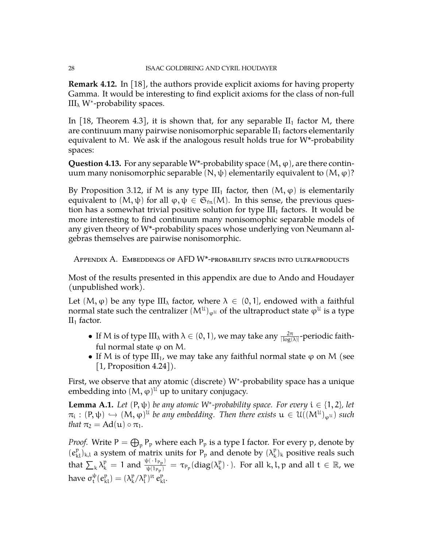**Remark 4.12.** In [\[18\]](#page-35-0), the authors provide explicit axioms for having property Gamma. It would be interesting to find explicit axioms for the class of non-full III<sub> $\lambda$ </sub> W<sup>\*</sup>-probability spaces.

In [\[18,](#page-35-0) Theorem 4.3], it is shown that, for any separable  $II_1$  factor M, there are continuum many pairwise nonisomorphic separable  $II_1$  factors elementarily equivalent to M. We ask if the analogous result holds true for W\*-probability spaces:

**Question 4.13.** For any separable W<sup>\*</sup>-probability space  $(M, \varphi)$ , are there continuum many nonisomorphic separable (N, ψ) elementarily equivalent to  $(M, φ)$ ?

By Proposition [3.12,](#page-16-1) if M is any type  $III_1$  factor, then  $(M, \varphi)$  is elementarily equivalent to  $(M, \psi)$  for all  $\varphi, \psi \in \mathfrak{S}_{fn}(M)$ . In this sense, the previous question has a somewhat trivial positive solution for type  $III<sub>1</sub>$  factors. It would be more interesting to find continuum many nonisomophic separable models of any given theory of W\*-probability spaces whose underlying von Neumann algebras themselves are pairwise nonisomorphic.

<span id="page-27-0"></span>Appendix A. Embeddings of AFD W\*-probability spaces into ultraproducts

Most of the results presented in this appendix are due to Ando and Houdayer (unpublished work).

Let  $(M, \varphi)$  be any type  $III_{\lambda}$  factor, where  $\lambda \in (0, 1]$ , endowed with a faithful normal state such the centralizer  $(\mathsf{M}^{\mathfrak{U}})_{\varphi^{\mathfrak{U}}}$  of the ultraproduct state  $\varphi^{\mathfrak{U}}$  is a type  $II_1$  factor.

- If M is of type  $III_\lambda$  with  $\lambda \in (0, 1)$ , we may take any  $\frac{2\pi}{|\log(\lambda)|}$ -periodic faithful normal state  $\varphi$  on M.
- If M is of type  $III_1$ , we may take any faithful normal state  $\varphi$  on M (see [\[1,](#page-34-11) Proposition 4.24]).

First, we observe that any atomic (discrete) W<sup>∗</sup> -probability space has a unique embedding into  $(M, \varphi)^{\mathfrak{U}}$  up to unitary conjugacy.

<span id="page-27-1"></span>**Lemma A.1.** *Let*  $(P, \psi)$  *be any atomic W<sup>\*</sup>-probability space. For every*  $i \in \{1, 2\}$ *, let*  $\pi_{i} : (P, \psi) \hookrightarrow (M, \varphi)^{\mathfrak{U}}$  *be any embedding. Then there exists*  $\mathfrak{u} \in \mathfrak{U}((M^{\mathfrak{U}})_{\varphi^{\mathfrak{U}}})$  such that *that*  $\pi_2 = \text{Ad}(u) \circ \pi_1$ *.* 

*Proof.* Write  $P = \bigoplus_{p} P_p$  where each  $P_p$  is a type I factor. For every  $p$ , denote by  $(e_{kl}^p)_{k,l}$  a system of matrix units for  $P_p$  and denote by  $(\lambda_k^p)$  $\binom{p}{k}$ <sub>k</sub> positive reals such that  $\sum_{k} \lambda_k^p = 1$  and  $\frac{\psi(\cdot 1_{P_p})}{\psi(1_{P_p})}$  $\frac{\psi(\,\cdot\,1_{\mathsf{P}_{\mathsf{p}}})}{\psi(1_{\mathsf{P}_{\mathsf{p}}})} = \tau_{\mathsf{P}_{\mathsf{p}}}(\text{diag}(\lambda^{\mathsf{p}}_k))$  $k(\mathbf{k}) \cdot$ ). For all k, l, p and all  $\mathbf{t} \in \mathbb{R}$ , we have  $\sigma_t^{\psi}$  $\mathfrak{t}^{\psi}(\mathit{e}_{\mathrm{kl}}^{\mathrm{p}}) = (\lambda_{\mathrm{k}}^{\mathrm{p}})$  $\binom{p}{k} \lambda_l^p$ <sup>it</sup>  $e_{kl}^p$ .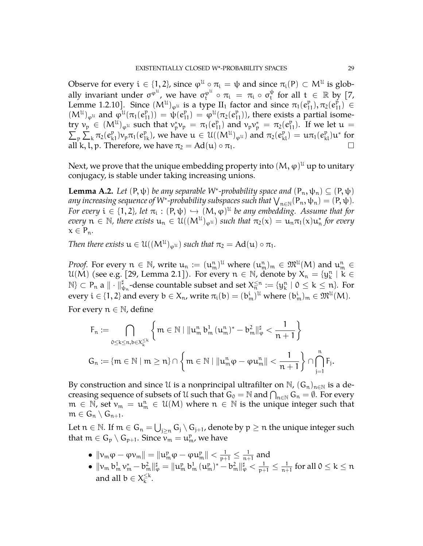Observe for every  $i \in \{1,2\}$ , since  $\varphi^{\mathfrak{U}} \circ \pi_{i} = \psi$  and since  $\pi_{i}(P) \subset M^{\mathfrak{U}}$  is globally invariant under  $\sigma^{\varphi^{\mathfrak{U}}},$  we have  $\sigma^{\varphi^{\mathfrak{U}}}_{\mathfrak{t}} \circ \pi_{\mathfrak{t}} = \pi_{\mathfrak{t}} \circ \sigma^{\psi}_{\mathfrak{t}}$  $\psi_t$  for all  $t \in \mathbb{R}$  by [\[7,](#page-34-8) Lemme 1.2.10]. Since  $(M^u)_{\varphi^u}$  is a type  $II_1$  factor and since  $\pi_1(e_{11}^{\mathfrak{p}}), \pi_2(e_{11}^{\mathfrak{p}}) \in$  $(M^{\mathfrak{U}})_{\varphi^{\mathfrak{U}}}$  and  $\varphi^{\mathfrak{U}}(\pi_1(e_{11}^{\mathfrak{p}})) = \psi(e_{11}^{\mathfrak{p}}) = \varphi^{\mathfrak{U}}(\pi_2(e_{11}^{\mathfrak{p}}))$ , there exists a partial isometry  $v_p \in (M^{\mathfrak{U}})_{\varphi^{\mathfrak{U}}}$  such that  $v_p^* v_p = \pi_1(e_{11}^p)$  and  $v_p v_p^* = \pi_2(e_1^p)$ try  $v_p \in (M^{\mathfrak{U}})_{\varphi^{\mathfrak{U}}}$  such that  $v_p^* v_p = \pi_1(e_{11}^p)$  and  $v_p v_p^* = \pi_2(e_{11}^p)$ . If we let  $\mathfrak{u} = \sum_p \sum_k \pi_2(e_{k1}^p) v_p \pi_1(e_{1k}^p)$ , we have  $\mathfrak{u} \in \mathfrak{U}((M^{\mathfrak{U}})_{\varphi^{\mathfrak{U}}})$  and  $\pi_2(e_{kl}^p) = \mathfrak{u$ all k, l, p. Therefore, we have  $\pi_2 = \text{Ad}(\mathfrak{u}) \circ \pi_1$ .

Next, we prove that the unique embedding property into  $(\mathsf{M},\varphi)^\mathfrak{U}$  up to unitary conjugacy, is stable under taking increasing unions.

<span id="page-28-0"></span>**Lemma A.2.** *Let*  $(P, \psi)$  *be any separable W<sup>\*</sup>-probability space and*  $(P_n, \psi_n) \subseteq (P, \psi)$ any increasing sequence of W\*-probability subspaces such that  $\bigvee_{n\in \mathbb{N}}(\mathsf{P}_n,\psi_n)=(\mathsf{P},\psi).$ *For every*  $i \in \{1, 2\}$ , let  $\pi_i : (P, \psi) \hookrightarrow (M, \varphi)^{\mathfrak{U}}$  be any embedding. Assume that for  $every \; n \in \mathbb{N}$ , there exists  $u_n \in \mathcal{U}((M^{\mathcal{U}})_{\varphi^{\mathcal{U}}})$  such that  $\pi_2(x) = u_n \pi_1(x) u_n^*$  for every  $x \in P_n$ .

*Then there exists*  $u \in \mathfrak{U}((M^{\mathfrak{U}})_{\varphi^{\mathfrak{U}}})$  *such that*  $\pi_2 = \mathrm{Ad}(u) \circ \pi_1$ *.* 

*Proof.* For every  $n \in \mathbb{N}$ , write  $u_n := (u_m^n)^{\mathfrak{U}}$  where  $(u_m^n)_m \in \mathfrak{M}^{\mathfrak{U}}(M)$  and  $u_m^n \in$  $\mathcal{U}(\mathbf{M})$  (see e.g. [\[29,](#page-35-17) Lemma 2.1]). For every  $n \in \mathbb{N}$ , denote by  $X_n = \{y_k^n \mid k \in \mathbb{N}\}$  $\mathbb{N}\}\subset\mathsf{P}_\mathfrak{n}$  a  $\|\cdot\|_{\psi_\mathfrak{n}}^\sharp$ -dense countable subset and set  $X_\mathfrak{n}^{\leq\mathfrak{n}}:=\{y_k^\mathfrak{n}\mid 0\leq k\leq \mathfrak{n}\}.$  For every  $i \in \{1,2\}$  and every  $b \in X_n$ , write  $\pi_i(b) = (b_m^i)^{\mathfrak{U}}$  where  $(b_m^i)_m \in \mathfrak{M}^{\mathfrak{U}}(M)$ .

For every  $n \in \mathbb{N}$ , define

$$
\begin{aligned} &F_n:=\bigcap_{0\leq k\leq n, b\in X_k^{\leq k}}\left\{m\in\mathbb{N}\mid \|u^n_m\,b^1_m\,(u^n_m)^*-b^2_m\|_\phi^{\sharp}<\frac{1}{n+1}\right\}\\ &G_n:=\{m\in\mathbb{N}\mid m\geq n\}\cap\left\{m\in\mathbb{N}\mid \|u^n_m\phi-\phi u^n_m\|<\frac{1}{n+1}\right\}\cap\bigcap_{j=1}^n F_j.\end{aligned}
$$

By construction and since U is a nonprincipal ultrafilter on  $\mathbb{N}$ ,  $(G_n)_{n\in\mathbb{N}}$  is a decreasing sequence of subsets of U such that  $G_0 = \mathbb{N}$  and  $\bigcap_{n \in \mathbb{N}} G_n = \emptyset$ . For every  $m \in \mathbb{N}$ , set  $v_m = u_m^n \in \mathcal{U}(M)$  where  $n \in \mathbb{N}$  is the unique integer such that  $m \in G_n \setminus G_{n+1}.$ 

Let  $n \in \mathbb{N}$ . If  $m \in \mathsf{G}_n = \bigcup_{\mathfrak{j} \geq n} \mathsf{G}_\mathfrak{j} \setminus \mathsf{G}_{\mathfrak{j}+1}$ , denote by  $\mathfrak{p} \geq n$  the unique integer such that  $m \in G_p \setminus G_{p+1}$ . Since  $v_m = u_m^p$ , we have

- $\bullet \ \left\| \nu_\mathfrak{m} \phi \varphi \nu_\mathfrak{m} \right\| = \left\| \mathfrak{u}^{\mathfrak{p}}_\mathfrak{m} \phi \varphi \mathfrak{u}^{\mathfrak{p}}_\mathfrak{m} \right\| < \frac{1}{\mathfrak{p}+1} \leq \frac{1}{\mathfrak{n}+1}$  $\frac{1}{n+1}$  and
- $\|\mathcal{H}_{\mathfrak{m}}\,\mathfrak{b}^1_{\mathfrak{m}}\,\mathfrak{v}^*_\mathfrak{m} \mathfrak{b}^2_{\mathfrak{m}}\|_\phi^\sharp = \|\mathfrak{u}^{\mathfrak{p}}_{\mathfrak{m}}\,\mathfrak{b}^1_{\mathfrak{m}}\,(\mathfrak{u}^{\mathfrak{p}}_{\mathfrak{m}})^* \mathfrak{b}^2_{\mathfrak{m}}\|_\phi^\sharp < \frac{1}{\mathfrak{p}+1} \leq \frac{1}{\mathfrak{n}+1}$  $\frac{1}{n+1}$  for all  $0 \leq k \leq n$ and all  $\mathrm{b}\in\mathsf{X}_\mathrm{k}^{\leq\mathrm{k}}$  $\frac{\leq \kappa}{k}$ .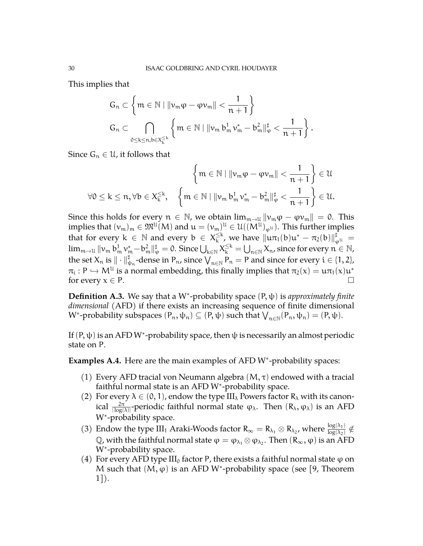This implies that

$$
\begin{aligned}&G_n\subset \left\{m\in\mathbb{N}\mid \| \nu_m\phi - \phi\nu_m\| < \frac{1}{n+1}\right\}\\&G_n\subset \bigcap_{0\leq k\leq n, b\in X_k^{\leq k}}\left\{m\in\mathbb{N}\mid \|\nu_m\,b_m^1\,\nu_m^* - b_m^2\|_\phi^{\sharp} < \frac{1}{n+1}\right\}.\end{aligned}
$$

Since  $G_n \in \mathcal{U}$ , it follows that

$$
\left\{m\in\mathbb{N}\mid\left\| \nu_m\phi-\phi\nu_m\right\|<\frac{1}{n+1}\right\}\in\mathcal{U}
$$

$$
\forall 0\leq k\leq n,\forall b\in X_k^{\leq k},\quad \left\{m\in\mathbb{N}\mid\left\|\nu_m\,b_m^1\,\nu_m^*-b_m^2\right\|_{\phi}^{\sharp}<\frac{1}{n+1}\right\}\in\mathcal{U}.
$$

Since this holds for every  $n \in \mathbb{N}$ , we obtain  $\lim_{m \to \mathbb{U}} ||v_m \varphi - \varphi v_m|| = 0$ . This implies that  $(\nu_\mathfrak{m})_\mathfrak{m}\in \mathfrak{M}^\mathfrak{U}(M)$  and  $\mathfrak{u}=(\nu_\mathfrak{m})^\mathfrak{U}\in \mathfrak{U}((M^\mathfrak{U})_{\varphi^\mathfrak{U}}).$  This further implies that for every  $k \in \mathbb{N}$  and every  $b \in X_k^{\leq k}$  $\frac{\leq k}{k}$ , we have  $\|u\pi_1(b)u^* - \pi_2(b)\|_{\varphi^{\mathcal{U}}}^{\sharp} =$  $\lim_{m\to\mathfrak{U}}\|v_m\,b_m^1\,v_m^*-b_m^2\|_\phi^\sharp=0.$  Since  $\bigcup_{k\in\mathbb{N}}X_k^{\le k}=\bigcup_{n\in\mathbb{N}}X_n$ , since for every  $n\in\mathbb{N}$ , the set  $X_n$  is  $\|\cdot\|_{\psi_n}^{\sharp}$ -dense in  $P_n$ , since  $\bigvee_{n\in\mathbb{N}}P_n=P$  and since for every  $\mathfrak{i}\in\{1,2\}$ ,  $\pi_i : P \hookrightarrow M^{\mathcal{U}}$  is a normal embedding, this finally implies that  $\pi_2(x) = u \pi_1(x) u^*$ for every  $x \in P$ .

<span id="page-29-0"></span>**Definition A.3.** We say that a W<sup>∗</sup> -probability space (P, ψ) is *approximately finite dimensional* (AFD) if there exists an increasing sequence of finite dimensional W<sup>\*</sup>-probability subspaces  $(P_n, \psi_n) \subseteq (P, \psi)$  such that  $\bigvee_{n \in \mathbb{N}} (P_n, \psi_n) = (P, \psi)$ .

If  $(P,\psi)$  is an AFD W\*-probability space, then  $\psi$  is necessarily an almost periodic state on P.

<span id="page-29-1"></span>Examples A.4. Here are the main examples of AFD W<sup>\*</sup>-probability spaces:

- (1) Every AFD tracial von Neumann algebra  $(M, \tau)$  endowed with a tracial faithful normal state is an AFD W<sup>∗</sup> -probability space.
- (2) For every  $\lambda \in (0, 1)$ , endow the type III<sub> $\lambda$ </sub> Powers factor  $R_{\lambda}$  with its canonical  $\frac{2\pi}{|\log(\lambda)|}$ -periodic faithful normal state φ<sub>λ</sub>. Then  $(R_\lambda, \phi_\lambda)$  is an AFD W<sup>∗</sup> -probability space.
- (3) Endow the type III<sub>1</sub> Araki-Woods factor  $R_{\infty} = R_{\lambda_1} \otimes R_{\lambda_2}$ , where  $\frac{\log(\lambda_1)}{\log(\lambda_2)} \notin$  $\mathbb{Q}$ , with the faithful normal state  $\varphi = \varphi_{\lambda_1} \otimes \varphi_{\lambda_2}$ . Then  $(R_{\infty}, \varphi)$  is an AFD W<sup>\*</sup>-probability space.
- (4) For every AFD type  $III_0$  factor P, there exists a faithful normal state  $\varphi$  on M such that  $(M, \varphi)$  is an AFD W<sup>\*</sup>-probability space (see [\[9,](#page-34-15) Theorem 1]).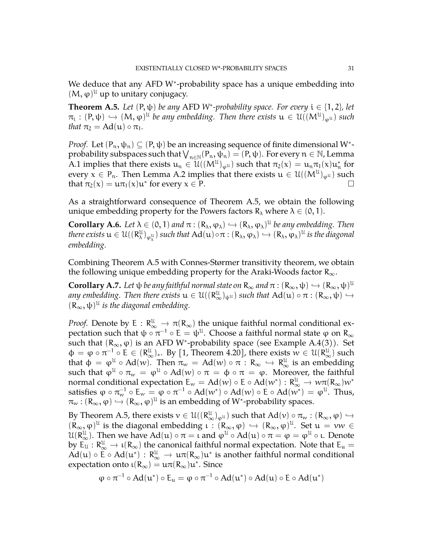We deduce that any AFD W<sup>\*</sup>-probability space has a unique embedding into  $(M, \varphi)^{\mathfrak{U}}$  up to unitary conjugacy.

<span id="page-30-2"></span>**Theorem A.5.** *Let*  $(P, \psi)$  *be any* AFD *W*<sup>\*</sup>-probability space. For every  $i \in \{1, 2\}$ , let  $\pi_{i} : (P, \psi) \hookrightarrow (M, \varphi)^{\mathfrak{U}}$  *be any embedding. Then there exists*  $\mathfrak{u} \in \mathfrak{U}((M^{\mathfrak{U}})_{\varphi^{\mathfrak{U}}})$  such that  $\pi$ *that*  $\pi_2 = \text{Ad}(\mathfrak{u}) \circ \pi_1$ *.* 

*Proof.* Let  $(P_n, \psi_n) \subseteq (P, \psi)$  be an increasing sequence of finite dimensional W<sup>\*</sup>probability subspaces such that  $\bigvee_{n\in\mathbb{N}}(P_n,\psi_n)=(P,\psi)$ . For every  $n\in\mathbb{N}$ , Lemma [A.1](#page-27-1) implies that there exists  $u_n \in \mathcal{U}((M^{\mathcal{U}})_{\varphi^{\mathcal{U}}})$  such that  $\pi_2(x) = u_n \pi_1(x) u_n^*$  for every  $x \in P_n$ . Then Lemma [A.2](#page-28-0) implies that there exists  $u \in \mathcal{U}((M^{\mathcal{U}})_{\varphi^{\mathcal{U}}})$  such that  $\pi_2(x) = u\pi_1(x)u^*$  for every  $x \in P$ .

As a straightforward consequence of Theorem [A.5,](#page-30-2) we obtain the following unique embedding property for the Powers factors  $R_{\lambda}$  where  $\lambda \in (0,1)$ .

<span id="page-30-1"></span>**Corollary A.6.** *Let*  $\lambda \in (0, 1)$  *and*  $\pi : (R_{\lambda}, \varphi_{\lambda}) \hookrightarrow (R_{\lambda}, \varphi_{\lambda})^{\mu}$  *be any embedding. Then*<br>*Here* with  $\alpha \in \mathcal{U}(\mathbb{R}^{\mu})$  , and that  $\lambda d(\mu) = \mu(R_{\lambda}, \varphi_{\lambda})$  is the discovered *there exists*  $u \in U((R^{\mathfrak{U}}_{\lambda})_{\varphi_{\lambda}^{\mathfrak{U}}})$  such that  $\operatorname{Ad}(u) \circ \pi : (R_{\lambda}, \varphi_{\lambda}) \hookrightarrow (R_{\lambda}, \varphi_{\lambda})^{\mathfrak{U}}$  is the diagonal *embedding.*

Combining Theorem [A.5](#page-30-2) with Connes-Størmer transitivity theorem, we obtain the following unique embedding property for the Araki-Woods factor  $R_{\infty}$ .

<span id="page-30-0"></span>**Corollary A.7.** Let  $\psi$  *be any faithful normal state on*  $R_{\infty}$  *and*  $\pi$  :  $(R_{\infty}, \psi) \hookrightarrow (R_{\infty}, \psi)^{\mathcal{U}}$ <br>*zure awhed ding* Than there wish  $\psi \in \mathcal{U}(\mathbb{R}^{\mathcal{U}})$ , and that  $\mathcal{U}(\mathcal{U}) \subseteq \mathcal{U}(\mathbb{R}^{\mathcal{U}})$ *any embedding. Then there exists*  $u \in \mathcal{U}((R_\infty^{\mathcal{U}})_{\psi^{\mathcal{U}}})$  *such that*  $Ad(u) \circ \pi : (R_\infty, \psi) \hookrightarrow$  $(R_{\infty}, \psi)^{\mathfrak{U}}$  *is the diagonal embedding.* 

*Proof.* Denote by  $E: \mathbb{R}_{\infty}^{\mathfrak{U}} \to \pi(\mathbb{R}_{\infty})$  the unique faithful normal conditional ex-<br>we obtain each that the  $-1$ .  $F \to \mathbb{R}^{\mathfrak{U}}$  Ghasenes faithful normal etable was  $\mathbb{R}$ . pectation such that  $\psi \circ \pi^{-1} \circ E = \psi^{\mathfrak{U}}$ . Choose a faithful normal state  $\varphi$  on  $R_{\infty}$ such that  $(R_{\infty}, \varphi)$  is an AFD W<sup>\*</sup>-probability space (see Example [A.4\(](#page-29-1)3)). Set  $\Phi = \varphi \circ \pi^{-1} \circ E \in (R_{\infty}^{\mathcal{U}})_*$ . By [\[1,](#page-34-11) Theorem 4.20], there exists  $w \in \mathcal{U}(R_{\infty}^{\mathcal{U}})$  such that the  $M_{\infty}$  of  $\mathcal{U}(w)$ . There  $w \in \Lambda$  is the substitution of the definition that  $\phi = \phi^{\mathfrak{U}} \circ \text{Ad}(w)$ . Then  $\pi_w = \text{Ad}(w) \circ \pi : \mathbb{R}_{\infty} \hookrightarrow \mathbb{R}_{\infty}^{\mathfrak{U}}$  is an embedding such that  $\varphi^{\mathfrak{U}} \circ \pi_w = \varphi^{\mathfrak{U}} \circ \mathrm{Ad}(w) \circ \pi = \varphi \circ \pi = \varphi$ . Moreover, the faithful normal conditional expectation  $E_w = Ad(w) \circ E \circ Ad(w^*) : R^{\mathcal{U}}_\omega \to w \pi (R_\infty) w^*$ satisfies  $\phi\circ\pi_{w}^{-1}\circ \mathsf{E}_{w}=\phi\circ\pi^{-1}\circ\operatorname{Ad}(w^{*})\circ\operatorname{Ad}(w)\circ\mathsf{E}\circ\operatorname{Ad}(w^{*})=\varphi^{\mathfrak{U}}.$  Thus,  $\pi_w : (\mathsf{R}_\infty, \varphi) \hookrightarrow (\mathsf{R}_\infty, \varphi)^\mathfrak{U}$  is an embedding of W\*-probability spaces.

By Theorem [A.5,](#page-30-2) there exists  $v \in \mathcal{U}((R_{\omega}^{\mathcal{U}})_{\varphi^{\mathcal{U}}})$  such that  $Ad(v) \circ \pi_w : (R_{\infty}, \varphi) \hookrightarrow$  $(R_{\infty}, \varphi)^{\mathcal{U}}$  is the diagonal embedding  $\iota : (R_{\infty}, \varphi) \hookrightarrow (R_{\infty}, \varphi)^{\mathcal{U}}$ . Set  $u = vw \in \mathcal{U}$ <br> $\iota : [P^{\mathcal{U}}]$ . Then we have  $\Lambda d(\mu)$  a  $\pi$  and  $\iota : [L_{\infty}, \Lambda d(\mu)]$  a  $\pi$  and  $\iota : [L_{\infty}, \varphi]$  $\mathcal{U}(\mathbb{R}_{\infty}^{u})$ . Then we have  $\text{Ad}(u) \circ \pi = \iota$  and  $\varphi^{u} \circ \text{Ad}(u) \circ \pi = \varphi = \varphi^{u} \circ \iota$ . Denote by  $E_u : R^u_\infty \to \iota(R_\infty)$  the canonical faithful normal expectation. Note that  $E_u = \iota^A d(\iota)$ ,  $E_u \wedge d(\iota^*)$ ,  $R^u$ ,  $\iota^A$ ,  $R^u$ ,  $\iota^A$ ,  $R^u$ ,  $\iota^A$ ,  $R^u$ ,  $\iota^A$ ,  $R^u$ ,  $\iota^A$ ,  $R^u$ ,  $\iota^A$ ,  $R^u$ ,  $\iota^A$ , Ad(u)  $\circ$  E  $\circ$  Ad(u<sup>\*</sup>) : R<sup>u</sup>  $\rightarrow$  u $\pi$ (R<sub>∞</sub>)u<sup>\*</sup> is another faithful normal conditional expectation onto  $\iota(R_\infty) = \iota \pi(R_\infty) \iota^*$ . Since

$$
\phi\circ\pi^{-1}\circ Ad(u^*)\circ E_u=\phi\circ\pi^{-1}\circ Ad(u^*)\circ Ad(u)\circ E\circ Ad(u^*)
$$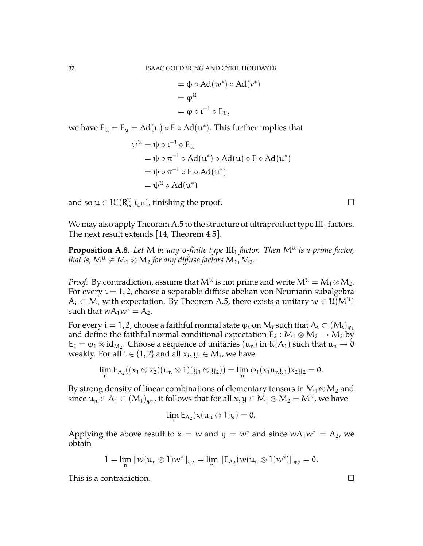$$
= \Phi \circ Ad(w^*) \circ Ad(v^*)
$$
  
=  $\phi^{\mathfrak{U}}$   
=  $\phi \circ \iota^{-1} \circ E_{\mathfrak{U}}$ ,

we have  $E_u = E_u = Ad(u) \circ E \circ Ad(u^*)$ . This further implies that

$$
\psi^{\mathfrak{U}} = \psi \circ \iota^{-1} \circ E_{\mathfrak{U}}
$$
  
=  $\psi \circ \pi^{-1} \circ Ad(\mathfrak{u}^*) \circ Ad(\mathfrak{u}) \circ E \circ Ad(\mathfrak{u}^*)$   
=  $\psi \circ \pi^{-1} \circ E \circ Ad(\mathfrak{u}^*)$   
=  $\psi^{\mathfrak{U}} \circ Ad(\mathfrak{u}^*)$ 

and so  $u \in \mathcal{U}((R_{\infty}^{\mathcal{U}})_{\psi^{\mathcal{U}}})$ , finishing the proof.

We may also apply Theorem [A.5](#page-30-2) to the structure of ultraproduct type  $III<sub>1</sub>$  factors. The next result extends [\[14,](#page-34-16) Theorem 4.5].

<span id="page-31-0"></span>**Proposition A.8.** Let M be any σ-finite type  $III_1$  factor. Then M<sup>U</sup> is a prime factor, *that is,*  $M^{\mathfrak{U}} \ncong M_1 \otimes M_2$  *for any diffuse factors*  $M_1, M_2$ *.* 

*Proof.* By contradiction, assume that  $\mathsf{M}^{\mathfrak{U}}$  is not prime and write  $\mathsf{M}^{\mathfrak{U}}= \mathsf{M}_{1}\otimes \mathsf{M}_{2}.$ For every  $i = 1, 2$ , choose a separable diffuse abelian von Neumann subalgebra  $\mathcal{A}_i\subset \mathcal{M}_i$  with expectation. By Theorem [A.5,](#page-30-2) there exists a unitary  $w\in \mathcal{U}(\mathcal{M}^{\mathcal{U}})$ such that  $wA_1w^* = A_2$ .

For every  $i = 1, 2$ , choose a faithful normal state  $\varphi_i$  on  $M_i$  such that  $A_i \subset (M_i)_{\varphi_i}$ and define the faithful normal conditional expectation  $E_2 : M_1 \otimes M_2 \rightarrow M_2$  by  $E_2 = \varphi_1 \otimes id_{M_2}$ . Choose a sequence of unitaries  $(u_n)$  in  $\mathcal{U}(A_1)$  such that  $u_n \to 0$ weakly. For all  $i \in \{1,2\}$  and all  $x_i, y_i \in M_i$ , we have

$$
\lim_{n} E_{A_2}((x_1 \otimes x_2)(u_n \otimes 1)(y_1 \otimes y_2)) = \lim_{n} \varphi_1(x_1u_ny_1)x_2y_2 = 0.
$$

By strong density of linear combinations of elementary tensors in  $M_1 \otimes M_2$  and since  $\mathfrak{u}_\mathfrak{n}\in\mathsf{A}_1\subset (\mathsf{M}_1)_{\varphi_1}$ , it follows that for all  $\mathsf{x},\mathsf{y}\in\mathsf{M}_1\otimes\mathsf{M}_2=\mathsf{M}^\mathfrak{U}$ , we have

$$
\lim_{n} \mathsf{E}_{\mathsf{A}_2}(\mathsf{x}(u_n \otimes 1)y) = 0.
$$

Applying the above result to  $x = w$  and  $y = w^*$  and since  $wA_1w^* = A_2$ , we obtain

$$
1=\lim_n \| \mathcal{W}(u_n \otimes 1) w^* \|_{\phi_2} = \lim_n \| E_{A_2}(w(u_n \otimes 1) w^*) \|_{\phi_2} = 0.
$$

This is a contradiction.  $\Box$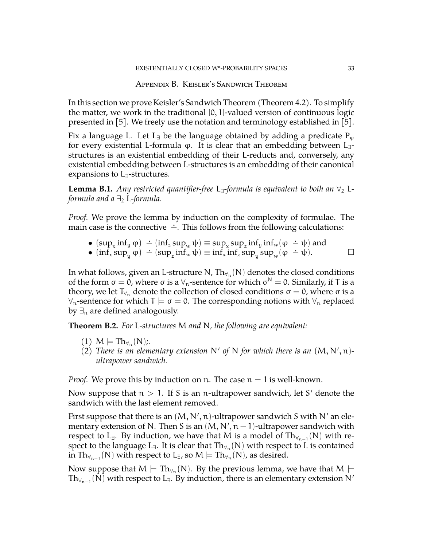## Appendix B. Keisler's Sandwich Theorem

<span id="page-32-0"></span>In this section we prove Keisler's Sandwich Theorem (Theorem [4.2\)](#page-23-0). To simplify the matter, we work in the traditional  $[0, 1]$ -valued version of continuous logic presented in [\[5\]](#page-34-14). We freely use the notation and terminology established in [\[5\]](#page-34-14).

Fix a language L. Let L<sub>∃</sub> be the language obtained by adding a predicate P<sub> $\varphi$ </sub> for every existential L-formula  $\varphi$ . It is clear that an embedding between L<sub>∃</sub>structures is an existential embedding of their L-reducts and, conversely, any existential embedding between L-structures is an embedding of their canonical expansions to L<sub>∃</sub>-structures.

**Lemma B.1.** *Any restricted quantifier-free* L<sub>∃</sub>-formula is equivalent to both an  $\forall_2$  L*formula and a*  $\exists$ <sub>2</sub> L-formula.

*Proof.* We prove the lemma by induction on the complexity of formulae. The main case is the connective  $\div$ . This follows from the following calculations:

- $(sup_x inf_y \varphi) \doteq (inf_z sup_w \psi) \equiv sup_x sup_z inf_y inf_w(\varphi \doteq \psi)$  and
- $(\inf_x \sup_y \varphi)$   $\div (\sup_z \sup_w \varphi) = \sup_z \sup_x \sup_z \sup_y \lim_y (\varphi + \psi)$  and  $\Box$

In what follows, given an L-structure N, Th $_{\forall_n}$ (N) denotes the closed conditions of the form  $\sigma = 0$ , where  $\sigma$  is a  $\forall_{n}$ -sentence for which  $\sigma^{N} = 0$ . Similarly, if T is a theory, we let  $T_{\forall n}$  denote the collection of closed conditions  $σ = 0$ , where  $σ$  is a  $\forall$ <sub>n</sub>-sentence for which T  $\models$  σ = 0. The corresponding notions with  $\forall$ <sub>n</sub> replaced by  $\exists_n$  are defined analogously.

<span id="page-32-1"></span>**Theorem B.2.** *For* L*-structures* M *and* N*, the following are equivalent:*

- $(1)$   $M \models Th_{\forall_n}(N)$ ;
- (2) There is an elementary extension  $N'$  of  $N$  for which there is an  $(M, N', n)$ *ultrapower sandwich.*

*Proof.* We prove this by induction on n. The case  $n = 1$  is well-known.

Now suppose that  $n > 1$ . If S is an n-ultrapower sandwich, let S' denote the sandwich with the last element removed.

First suppose that there is an  $(M, N', n)$ -ultrapower sandwich S with N' an elementary extension of N. Then S is an  $(M, N', n-1)$ -ultrapower sandwich with respect to L<sub>∃</sub>. By induction, we have that M is a model of Th<sub> $\forall_{n-1}$ </sub>(N) with respect to the language L<sub>∃</sub>. It is clear that  $\mathrm{Th}_{\forall_n}(\mathsf{N})$  with respect to L is contained in  $\mathrm{Th}_{\forall_{n-1}}(\mathsf{N})$  with respect to L<sub>∃</sub>, so  $\mathsf{M}\models \mathrm{Th}_{\forall_{n}}(\mathsf{N})$ , as desired.

Now suppose that  $\mathsf{M}\models\mathrm{Th}_{\forall_\mathfrak{n}}(\mathsf{N}).$  By the previous lemma, we have that  $\mathsf{M}\models$  $\mathrm{Th}_{\forall_{n-1}}(\bar{\mathsf{N}})$  with respect to  $\mathsf{L}_{\exists}$ . By induction, there is an elementary extension  $\mathsf{N}'$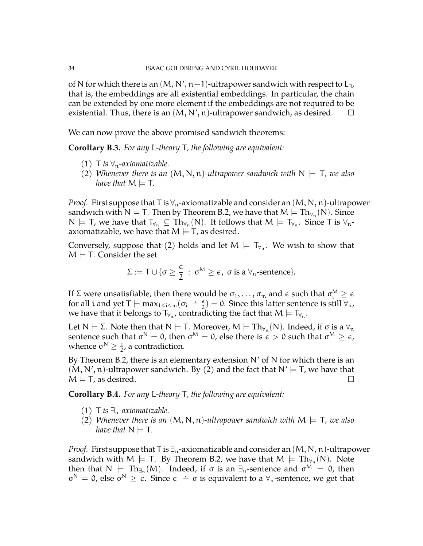of N for which there is an  $(M, N', n-1)$ -ultrapower sandwich with respect to L<sub>∃</sub>, that is, the embeddings are all existential embeddings. In particular, the chain can be extended by one more element if the embeddings are not required to be existential. Thus, there is an  $(M, N', n)$ -ultrapower sandwich, as desired.  $\square$ 

We can now prove the above promised sandwich theorems:

**Corollary B.3.** *For any* L*-theory* T*, the following are equivalent:*

- (1) T *is*  $\forall$ <sub>n</sub>-axiomatizable.
- (2) *Whenever there is an*  $(M, N, n)$ -ultrapower sandwich with  $N \models T$ , we also *have that*  $M \models T$ .

*Proof.* First suppose that T is  $\forall_{n}$ -axiomatizable and consider an  $(M, N, n)$ -ultrapower sandwich with N  $\models$  T. Then by Theorem [B.2,](#page-32-1) we have that  $\mathsf{M}\models \mathrm{Th}_{\forall_\mathsf{n}}(\mathsf{N}).$  Since  $N \models \mathsf{T}$ , we have that  $\mathsf{T}_{\forall_n} \subseteq \mathrm{Th}_{\forall_n}(\mathsf{N})$ . It follows that  $\mathsf{M} \models \mathsf{T}_{\forall_n}$ . Since  $\mathsf{T}$  is  $\forall_n$ axiomatizable, we have that  $M \models T$ , as desired.

Conversely, suppose that (2) holds and let  $M \models \mathsf{T}_{\forall_n}$ . We wish to show that  $M \models T$ . Consider the set

$$
\Sigma:=T\cup\{\sigma\geq\frac{\varepsilon}{2}\,:\,\sigma^M\geq\varepsilon,\,\,\sigma\text{ is a }\forall_n\text{-sentence}\}.
$$

If Σ were unsatisfiable, then there would be  $\sigma_1,\ldots,\sigma_m$  and  $\epsilon$  such that  $\sigma_i^{\text{M}}\geq \epsilon$ for all i and yet  $T \models max_{1 \le i \le m} (\sigma_i \div \frac{\epsilon}{2})$  $\left(\frac{\epsilon}{2}\right) = 0$ . Since this latter sentence is still  $\forall$ <sub>n</sub>, we have that it belongs to  $\textsf T_{\forall_n}.$  contradicting the fact that  $\textsf M\models \textsf T_{\forall_n}.$ 

Let N  $\models$  Σ. Note then that N  $\models$  T. Moreover, M  $\models$  Th<sub>∀n</sub>(N). Indeed, if σ is a  $\forall$ <sub>n</sub> sentence such that  $\sigma^{\mathsf{N}}=0$ , then  $\sigma^{\mathsf{M}}=0$ , else there is  $\epsilon>0$  such that  $\sigma^{\mathsf{M}}\geq\epsilon$ , whence  $\sigma^N \geq \frac{\epsilon}{2}$  $\frac{\epsilon}{2}$ , a contradiction.

By Theorem [B.2,](#page-32-1) there is an elementary extension  $N'$  of N for which there is an  $(M, N', n)$ -ultrapower sandwich. By  $(2)$  and the fact that  $N' \models T$ , we have that  $M \models$  T, as desired.

**Corollary B.4.** *For any* L*-theory* T*, the following are equivalent:*

- (1) T *is*  $\exists$ <sub>n</sub>-axiomatizable.
- (2) *Whenever there is an*  $(M, N, n)$ -ultrapower sandwich with  $M \models T$ , we also *have that*  $N \models T$ .

*Proof.* First suppose that T is  $\exists_{n}$ -axiomatizable and consider an  $(M, N, n)$ -ultrapower sandwich with M  $\models$  T. By Theorem [B.2,](#page-32-1) we have that  $M \models \mathrm{Th}_{\forall_n}(\mathsf{N})$ . Note then that  $N \models Th_{\exists n}(M)$ . Indeed, if  $\sigma$  is an  $\exists_n$ -sentence and  $\sigma^M = 0$ , then  $\sigma^N = 0$ , else  $\sigma^N \ge \epsilon$ . Since  $\epsilon - \sigma$  is equivalent to a  $\forall_n$ -sentence, we get that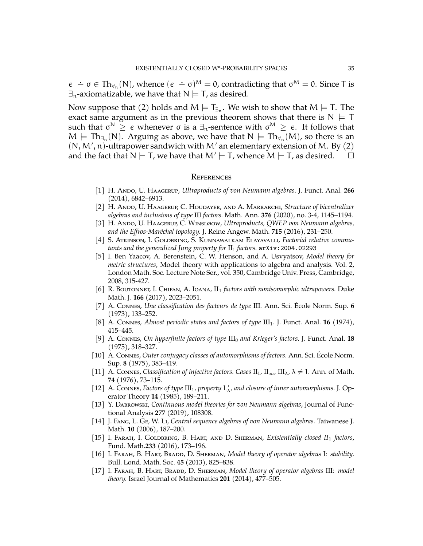$\epsilon - \sigma \in \text{Th}_{\forall n}(\mathsf{N})$ , whence  $(\epsilon - \sigma)^{\mathsf{M}} = 0$ , contradicting that  $\sigma^{\mathsf{M}} = 0$ . Since T is  $\exists_{n}$ -axiomatizable, we have that  $N \models T$ , as desired.

Now suppose that (2) holds and  $\mathsf{M}\models\mathsf{T}_{\exists_{\mathsf{n}}} .$  We wish to show that  $\mathsf{M}\models\mathsf{T} .$  The exact same argument as in the previous theorem shows that there is  $N \models T$ such that  $\sigma^{\mathsf{N}}\,\geq\, \epsilon$  whenever  $\sigma$  is a  $\exists_\mathfrak{n}$ -sentence with  $\sigma^{\mathsf{M}}\,\geq\,\epsilon.$  It follows that  $M \models \text{Th}_{\exists_n}(N)$ . Arguing as above, we have that  $N \models \text{Th}_{\forall_n}(M)$ , so there is an  $(N, M', n)$ -ultrapower sandwich with M' an elementary extension of M. By  $(2)$ and the fact that  $N \models T$ , we have that  $M' \models T$ , whence  $M \models T$ , as desired.  $\Box$ 

#### <span id="page-34-0"></span>**REFERENCES**

- <span id="page-34-11"></span>[1] H. Ando, U. Haagerup, *Ultraproducts of von Neumann algebras.* J. Funct. Anal. **266** (2014), 6842–6913.
- <span id="page-34-13"></span>[2] H. Ando, U. Haagerup, C. Houdayer, and A. Marrakchi, *Structure of bicentralizer algebras and inclusions of type* III *factors.* Math. Ann. **376** (2020), no. 3-4, 1145–1194.
- <span id="page-34-6"></span>[3] H. Ando, U. Haagerup, C. Winsløow, *Ultraproducts, QWEP von Neumann algebras, and the Effros-Maréchal topology.* J. Reine Angew. Math. **715** (2016), 231–250.
- <span id="page-34-3"></span>[4] S. Atkinson, I. Goldbring, S. Kunnawalkam Elayavalli, *Factorial relative commutants and the generalized Jung property for* II<sup>1</sup> *factors.* arXiv:2004.02293
- <span id="page-34-14"></span>[5] I. Ben Yaacov, A. Berenstein, C. W. Henson, and A. Usvyatsov, *Model theory for metric structures*, Model theory with applications to algebra and analysis. Vol. 2, London Math. Soc. Lecture Note Ser., vol. 350, Cambridge Univ. Press, Cambridge, 2008, 315-427.
- <span id="page-34-7"></span>[6] R. Boutonnet, I. Chifan, A. Ioana, II<sup>1</sup> *factors with nonisomorphic ultrapowers.* Duke Math. J. **166** (2017), 2023–2051.
- <span id="page-34-8"></span>[7] A. Connes, *Une classification des facteurs de type* III*.* Ann. Sci. École Norm. Sup. **6** (1973), 133–252.
- <span id="page-34-12"></span>[8] A. Connes, *Almost periodic states and factors of type* III1*.* J. Funct. Anal. **16** (1974), 415–445.
- <span id="page-34-15"></span>[9] A. Connes, *On hyperfinite factors of type* III<sup>0</sup> *and Krieger's factors.* J. Funct. Anal. **18** (1975), 318–327.
- [10] A. Connes, *Outer conjugacy classes of automorphisms of factors.* Ann. Sci. École Norm. Sup. **8** (1975), 383–419.
- <span id="page-34-9"></span>[11] A. Connes, *Classification of injective factors. Cases*  $II_1$ ,  $II_\infty$ ,  $III_\lambda$ ,  $\lambda \neq 1$ . Ann. of Math. **74** (1976), 73–115.
- <span id="page-34-10"></span>[12] A. Connes, *Factors of type*  $III_1$ , *property*  $L'_{\lambda}$ , and closure of inner automorphisms. J. Operator Theory **14** (1985), 189–211.
- <span id="page-34-4"></span>[13] Y. Dabrowski, *Continuous model theories for von Neumann algebras*, Journal of Functional Analysis **277** (2019), 108308.
- <span id="page-34-16"></span>[14] J. Fang, L. Ge, W. Li, *Central sequence algebras of von Neumann algebras.* Taiwanese J. Math. **10** (2006), 187–200.
- <span id="page-34-5"></span>[15] I. Farah, I. Goldbring, B. Hart, and D. Sherman, *Existentially closed II*<sup>1</sup> *factors*, Fund. Math.**233** (2016), 173–196.
- <span id="page-34-1"></span>[16] I. Farah, B. Hart, Bradd, D. Sherman, *Model theory of operator algebras* I*: stability.* Bull. Lond. Math. Soc. **45** (2013), 825–838.
- <span id="page-34-2"></span>[17] I. Farah, B. Hart, Bradd, D. Sherman, *Model theory of operator algebras* III*: model theory.* Israel Journal of Mathematics **201** (2014), 477–505.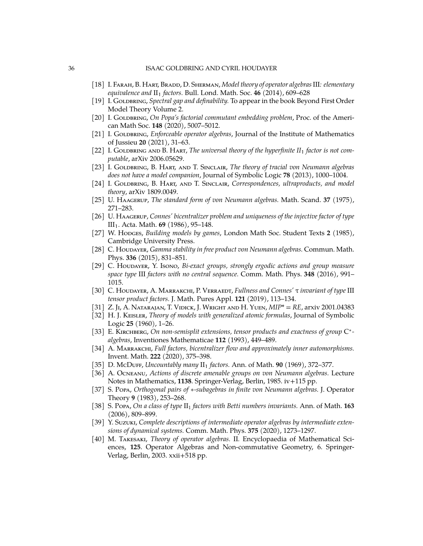- <span id="page-35-0"></span>[18] I. Farah, B. Hart, Bradd, D. Sherman, *Model theory of operator algebras*III*: elementary equivalence and*  $II_1$  *factors.* Bull. Lond. Math. Soc. 46 (2014), 609–628
- <span id="page-35-5"></span>[19] I. GoLDBRING, *Spectral gap and definability*. To appear in the book Beyond First Order Model Theory Volume 2.
- <span id="page-35-1"></span>[20] I. GoLDBRING, *On Popa's factorial commutant embedding problem*, Proc. of the American Math Soc. **148** (2020), 5007–5012.
- <span id="page-35-6"></span>[21] I. GoLDBRING, *Enforceable operator algebras*, Journal of the Institute of Mathematics of Jussieu **20** (2021), 31–63.
- <span id="page-35-2"></span>[22] I. GOLDBRING AND B. HART, *The universal theory of the hyperfinite*  $II_1$  *factor is not computable*, arXiv 2006.05629.
- <span id="page-35-4"></span>[23] I. Goldbring, B. Hart, and T. Sinclair, *The theory of tracial von Neumann algebras does not have a model companion*, Journal of Symbolic Logic **78** (2013), 1000–1004.
- <span id="page-35-3"></span>[24] I. GOLDBRING, B. HART, AND T. SINCLAIR, *Correspondences*, *ultraproducts*, *and model theory*, arXiv 1809.0049.
- <span id="page-35-9"></span>[25] U. Haagerup, *The standard form of von Neumann algebras.* Math. Scand. **37** (1975), 271–283.
- <span id="page-35-11"></span>[26] U. Haagerup, *Connes' bicentralizer problem and uniqueness of the injective factor of type* III1*.* Acta. Math. **69** (1986), 95–148.
- <span id="page-35-18"></span>[27] W. Hopges, *Building models by games*, London Math Soc. Student Texts 2 (1985), Cambridge University Press.
- <span id="page-35-21"></span>[28] C. Houdayer, *Gamma stability in free product von Neumann algebras.* Commun. Math. Phys. **336** (2015), 831–851.
- <span id="page-35-17"></span>[29] C. Houdayer, Y. Isono, *Bi-exact groups, strongly ergodic actions and group measure space type* III *factors with no central sequence.* Comm. Math. Phys. **348** (2016), 991– 1015.
- <span id="page-35-14"></span>[30] C. Houdayer, A. Marrakchi, P. Verraedt, *Fullness and Connes'* τ *invariant of type* III *tensor product factors.* J. Math. Pures Appl. **121** (2019), 113–134.
- <span id="page-35-19"></span>[31] Z. Ji, A. Natarajan, T. Vidick, J. Wright and H. Yuen, *MIP\* = RE*, arxiv 2001.04383
- <span id="page-35-20"></span>[32] H. J. Keisler, *Theory of models with generalized atomic formulas*, Journal of Symbolic Logic **25** (1960), 1–26.
- <span id="page-35-7"></span>[33] Е. КIRCHBERG, *On non-semisplit extensions, tensor products and exactness of group* C<sup>\*</sup>*algebras*, Inventiones Mathematicae **112** (1993), 449–489.
- <span id="page-35-13"></span>[34] A. Marrakchi, *Full factors, bicentralizer flow and approximately inner automorphisms.* Invent. Math. **222** (2020), 375–398.
- <span id="page-35-8"></span>[35] D. McDuff, *Uncountably many* II<sup>1</sup> *factors.* Ann. of Math. **90** (1969), 372–377.
- <span id="page-35-12"></span>[36] A. Ocneanu, *Actions of discrete amenable groups on von Neumann algebras.* Lecture Notes in Mathematics, **1138**. Springer-Verlag, Berlin, 1985. iv+115 pp.
- [37] S. Popa, *Orthogonal pairs of* ∗*-subagebras in finite von Neumann algebras.* J. Operator Theory **9** (1983), 253–268.
- <span id="page-35-16"></span>[38] S. Popa, *On a class of type* II<sup>1</sup> *factors with Betti numbers invariants.* Ann. of Math. **163** (2006), 809–899.
- <span id="page-35-15"></span>[39] Y. Suzuki, *Complete descriptions of intermediate operator algebras by intermediate extensions of dynamical systems.* Comm. Math. Phys. **375** (2020), 1273–1297.
- <span id="page-35-10"></span>[40] M. Takesaki, *Theory of operator algebras.* II*.* Encyclopaedia of Mathematical Sciences, **125**. Operator Algebras and Non-commutative Geometry, 6. Springer-Verlag, Berlin, 2003. xxii+518 pp.